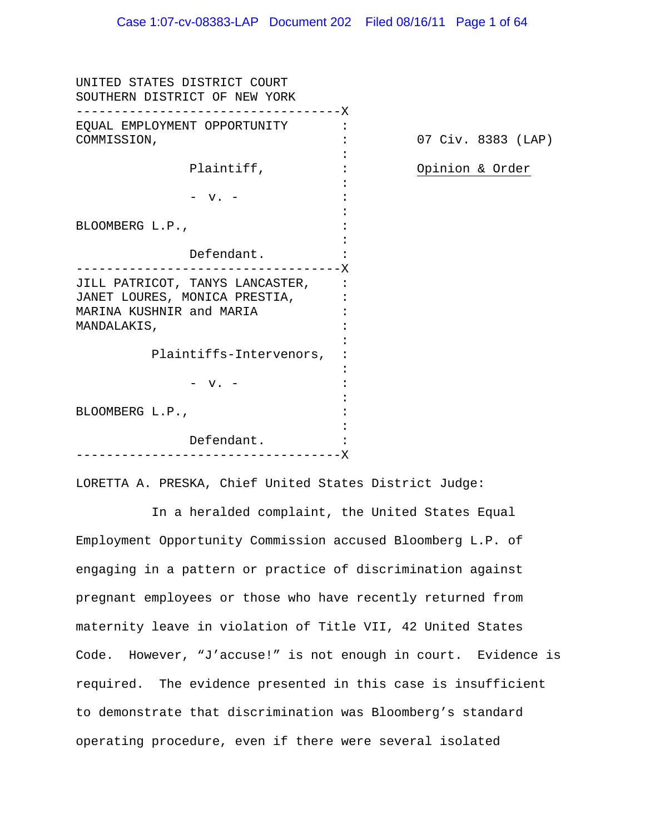| UNITED STATES DISTRICT COURT<br>SOUTHERN DISTRICT OF NEW YORK<br>- – – – – – – X |                    |
|----------------------------------------------------------------------------------|--------------------|
| EQUAL EMPLOYMENT OPPORTUNITY                                                     |                    |
| COMMISSION,                                                                      | 07 Civ. 8383 (LAP) |
| Plaintiff,                                                                       | Opinion & Order    |
|                                                                                  |                    |
| $-$ v. $-$                                                                       |                    |
| BLOOMBERG L.P.,                                                                  |                    |
|                                                                                  |                    |
| Defendant.                                                                       |                    |
| - – – – – – – X<br>JILL PATRICOT, TANYS LANCASTER,                               |                    |
| JANET LOURES, MONICA PRESTIA,                                                    |                    |
| MARINA KUSHNIR and MARIA                                                         |                    |
| MANDALAKIS,                                                                      |                    |
| Plaintiffs-Intervenors,                                                          |                    |
|                                                                                  |                    |
| $-$ v. $-$                                                                       |                    |
| BLOOMBERG L.P.,                                                                  |                    |
|                                                                                  |                    |
| Defendant.                                                                       |                    |
| - – – – – – – – – – X                                                            |                    |

LORETTA A. PRESKA, Chief United States District Judge:

 In a heralded complaint, the United States Equal Employment Opportunity Commission accused Bloomberg L.P. of engaging in a pattern or practice of discrimination against pregnant employees or those who have recently returned from maternity leave in violation of Title VII, 42 United States Code. However, "J'accuse!" is not enough in court. Evidence is required. The evidence presented in this case is insufficient to demonstrate that discrimination was Bloomberg's standard operating procedure, even if there were several isolated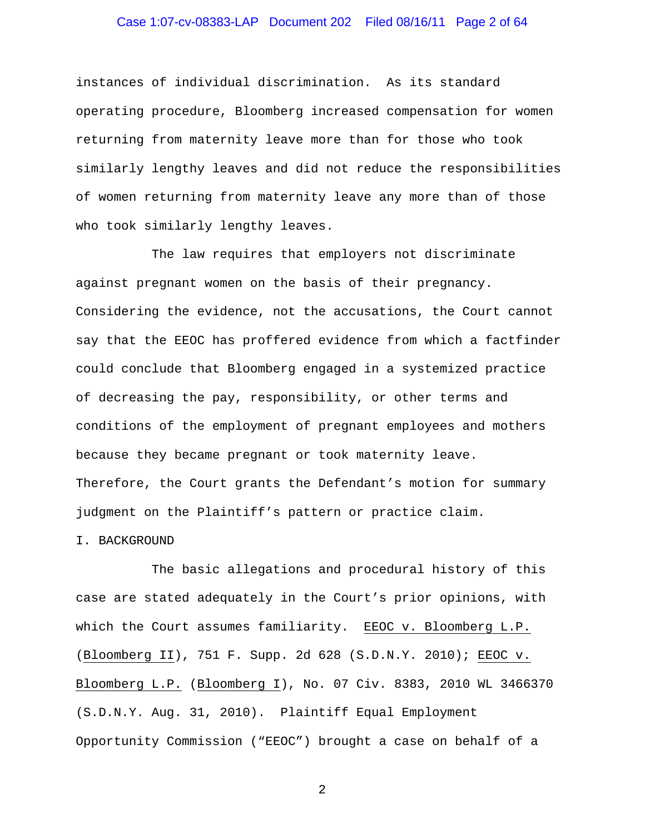# Case 1:07-cv-08383-LAP Document 202 Filed 08/16/11 Page 2 of 64

instances of individual discrimination. As its standard operating procedure, Bloomberg increased compensation for women returning from maternity leave more than for those who took similarly lengthy leaves and did not reduce the responsibilities of women returning from maternity leave any more than of those who took similarly lengthy leaves.

 The law requires that employers not discriminate against pregnant women on the basis of their pregnancy. Considering the evidence, not the accusations, the Court cannot say that the EEOC has proffered evidence from which a factfinder could conclude that Bloomberg engaged in a systemized practice of decreasing the pay, responsibility, or other terms and conditions of the employment of pregnant employees and mothers because they became pregnant or took maternity leave. Therefore, the Court grants the Defendant's motion for summary judgment on the Plaintiff's pattern or practice claim.

#### I. BACKGROUND

 The basic allegations and procedural history of this case are stated adequately in the Court's prior opinions, with which the Court assumes familiarity. EEOC v. Bloomberg L.P. (Bloomberg II), 751 F. Supp. 2d 628 (S.D.N.Y. 2010); EEOC v. Bloomberg L.P. (Bloomberg I), No. 07 Civ. 8383, 2010 WL 3466370 (S.D.N.Y. Aug. 31, 2010). Plaintiff Equal Employment Opportunity Commission ("EEOC") brought a case on behalf of a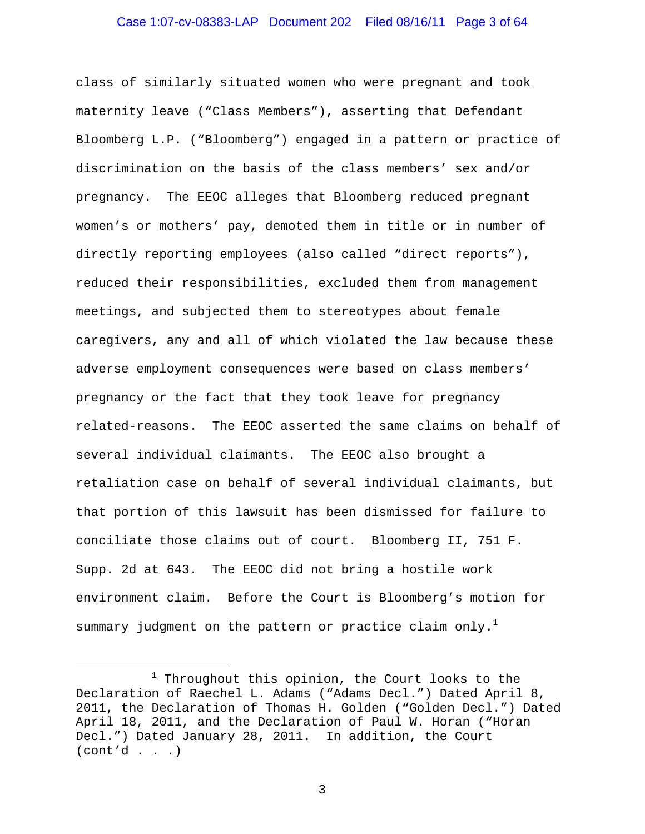class of similarly situated women who were pregnant and took maternity leave ("Class Members"), asserting that Defendant Bloomberg L.P. ("Bloomberg") engaged in a pattern or practice of discrimination on the basis of the class members' sex and/or pregnancy. The EEOC alleges that Bloomberg reduced pregnant women's or mothers' pay, demoted them in title or in number of directly reporting employees (also called "direct reports"), reduced their responsibilities, excluded them from management meetings, and subjected them to stereotypes about female caregivers, any and all of which violated the law because these adverse employment consequences were based on class members' pregnancy or the fact that they took leave for pregnancy related-reasons. The EEOC asserted the same claims on behalf of several individual claimants. The EEOC also brought a retaliation case on behalf of several individual claimants, but that portion of this lawsuit has been dismissed for failure to conciliate those claims out of court. Bloomberg II, 751 F. Supp. 2d at 643. The EEOC did not bring a hostile work environment claim. Before the Court is Bloomberg's motion for summary judgment on the pattern or practice claim only.<sup>1</sup>

 $\overline{\phantom{0}}$ 

<sup>1</sup>  $1$  Throughout this opinion, the Court looks to the Declaration of Raechel L. Adams ("Adams Decl.") Dated April 8, 2011, the Declaration of Thomas H. Golden ("Golden Decl.") Dated April 18, 2011, and the Declaration of Paul W. Horan ("Horan Decl.") Dated January 28, 2011. In addition, the Court  $(cont'd . . .)$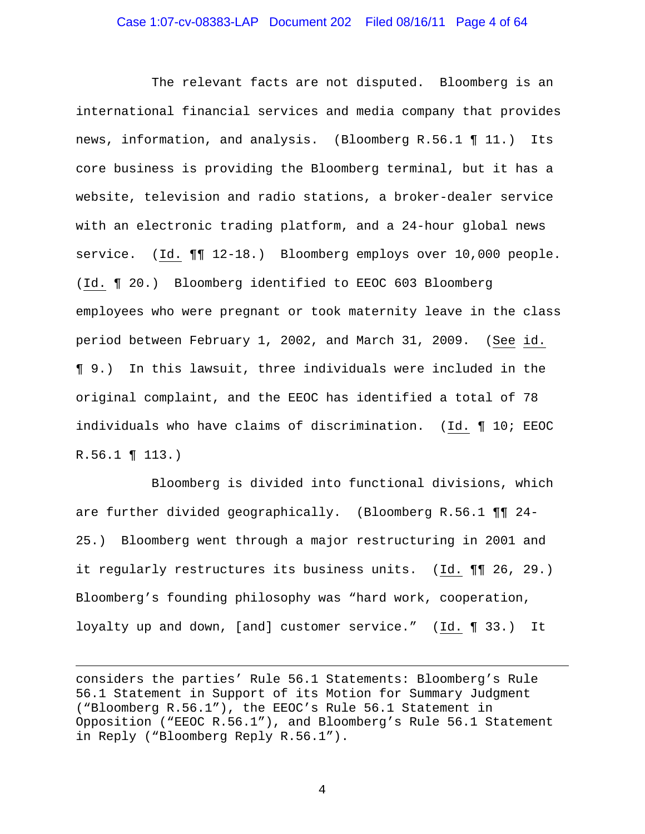#### Case 1:07-cv-08383-LAP Document 202 Filed 08/16/11 Page 4 of 64

 The relevant facts are not disputed. Bloomberg is an international financial services and media company that provides news, information, and analysis. (Bloomberg R.56.1 ¶ 11.) Its core business is providing the Bloomberg terminal, but it has a website, television and radio stations, a broker-dealer service with an electronic trading platform, and a 24-hour global news service. (Id.  $\P\P$  12-18.) Bloomberg employs over 10,000 people. (Id. ¶ 20.) Bloomberg identified to EEOC 603 Bloomberg employees who were pregnant or took maternity leave in the class period between February 1, 2002, and March 31, 2009. (See id. ¶ 9.) In this lawsuit, three individuals were included in the original complaint, and the EEOC has identified a total of 78 individuals who have claims of discrimination. (Id. ¶ 10; EEOC R.56.1 ¶ 113.)

 Bloomberg is divided into functional divisions, which are further divided geographically. (Bloomberg R.56.1 ¶¶ 24- 25.) Bloomberg went through a major restructuring in 2001 and it regularly restructures its business units. (Id. ¶¶ 26, 29.) Bloomberg's founding philosophy was "hard work, cooperation, loyalty up and down, [and] customer service." (Id. ¶ 33.) It

i<br>Li

considers the parties' Rule 56.1 Statements: Bloomberg's Rule 56.1 Statement in Support of its Motion for Summary Judgment ("Bloomberg R.56.1"), the EEOC's Rule 56.1 Statement in Opposition ("EEOC R.56.1"), and Bloomberg's Rule 56.1 Statement in Reply ("Bloomberg Reply R.56.1").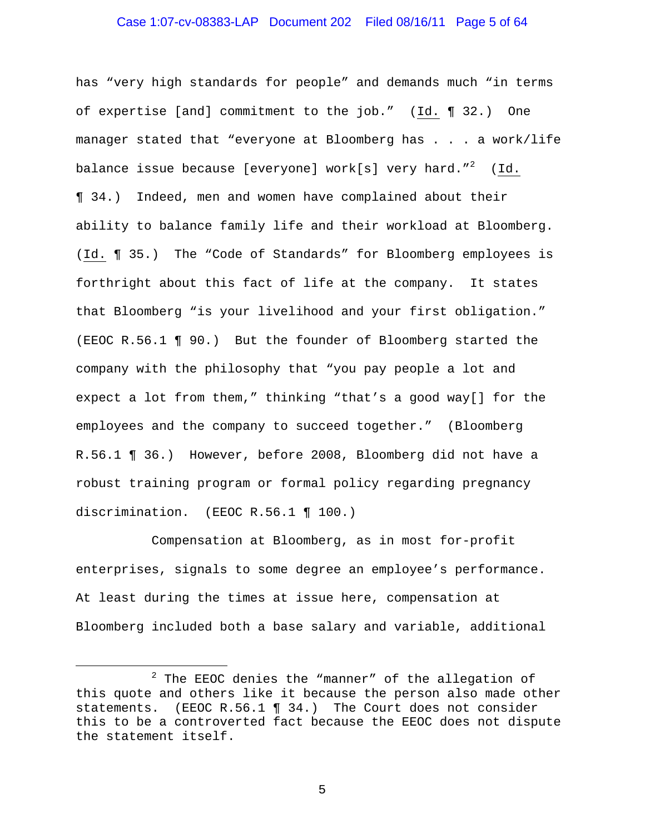# Case 1:07-cv-08383-LAP Document 202 Filed 08/16/11 Page 5 of 64

has "very high standards for people" and demands much "in terms of expertise [and] commitment to the job." (Id. ¶ 32.) One manager stated that "everyone at Bloomberg has . . . a work/life balance issue because [everyone] work[s] very hard." $^2$  (Id. ¶ 34.) Indeed, men and women have complained about their ability to balance family life and their workload at Bloomberg. (Id. ¶ 35.) The "Code of Standards" for Bloomberg employees is forthright about this fact of life at the company. It states that Bloomberg "is your livelihood and your first obligation." (EEOC R.56.1 ¶ 90.) But the founder of Bloomberg started the company with the philosophy that "you pay people a lot and expect a lot from them," thinking "that's a good way[] for the employees and the company to succeed together." (Bloomberg R.56.1 ¶ 36.) However, before 2008, Bloomberg did not have a robust training program or formal policy regarding pregnancy discrimination. (EEOC R.56.1 ¶ 100.)

 Compensation at Bloomberg, as in most for-profit enterprises, signals to some degree an employee's performance. At least during the times at issue here, compensation at Bloomberg included both a base salary and variable, additional

i<br>Li

<sup>2</sup>  $2$  The EEOC denies the "manner" of the allegation of this quote and others like it because the person also made other statements. (EEOC R.56.1 ¶ 34.) The Court does not consider this to be a controverted fact because the EEOC does not dispute the statement itself.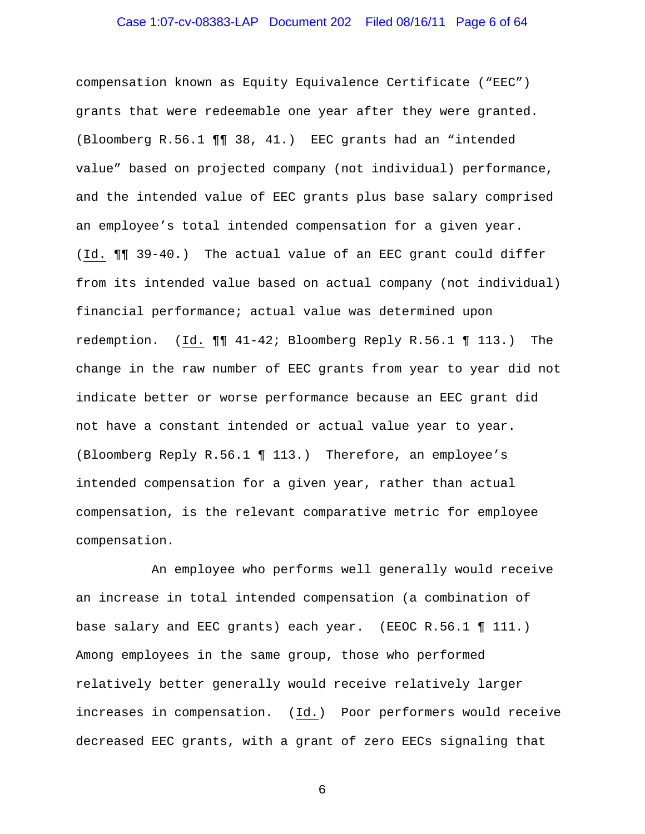# Case 1:07-cv-08383-LAP Document 202 Filed 08/16/11 Page 6 of 64

compensation known as Equity Equivalence Certificate ("EEC") grants that were redeemable one year after they were granted. (Bloomberg R.56.1 ¶¶ 38, 41.) EEC grants had an "intended value" based on projected company (not individual) performance, and the intended value of EEC grants plus base salary comprised an employee's total intended compensation for a given year. (Id. ¶¶ 39-40.) The actual value of an EEC grant could differ from its intended value based on actual company (not individual) financial performance; actual value was determined upon redemption. (Id. ¶¶ 41-42; Bloomberg Reply R.56.1 ¶ 113.) The change in the raw number of EEC grants from year to year did not indicate better or worse performance because an EEC grant did not have a constant intended or actual value year to year. (Bloomberg Reply R.56.1 ¶ 113.) Therefore, an employee's intended compensation for a given year, rather than actual compensation, is the relevant comparative metric for employee compensation.

 An employee who performs well generally would receive an increase in total intended compensation (a combination of base salary and EEC grants) each year. (EEOC R.56.1 ¶ 111.) Among employees in the same group, those who performed relatively better generally would receive relatively larger increases in compensation. (Id.) Poor performers would receive decreased EEC grants, with a grant of zero EECs signaling that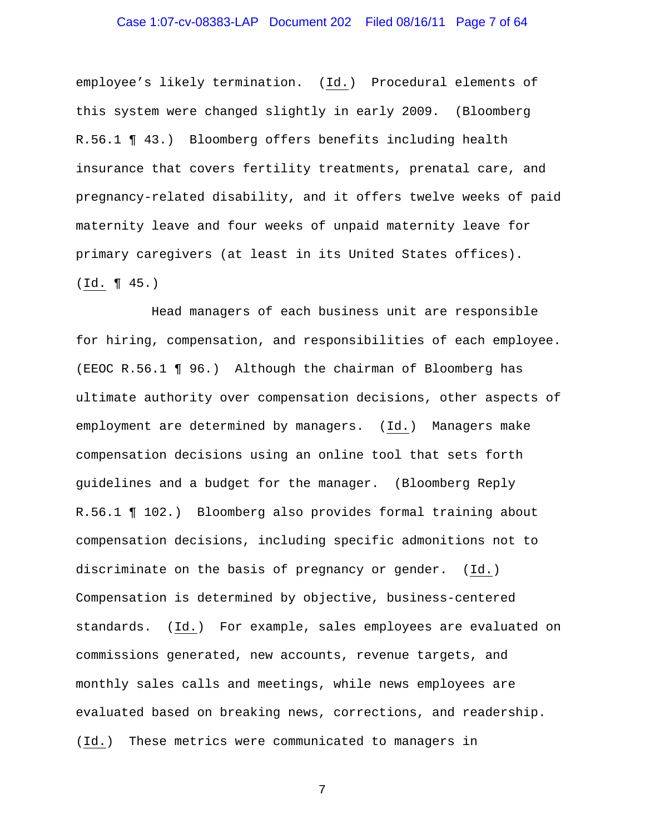# Case 1:07-cv-08383-LAP Document 202 Filed 08/16/11 Page 7 of 64

employee's likely termination. (Id.) Procedural elements of this system were changed slightly in early 2009. (Bloomberg R.56.1 ¶ 43.) Bloomberg offers benefits including health insurance that covers fertility treatments, prenatal care, and pregnancy-related disability, and it offers twelve weeks of paid maternity leave and four weeks of unpaid maternity leave for primary caregivers (at least in its United States offices). (Id. ¶ 45.)

 Head managers of each business unit are responsible for hiring, compensation, and responsibilities of each employee. (EEOC R.56.1 ¶ 96.) Although the chairman of Bloomberg has ultimate authority over compensation decisions, other aspects of employment are determined by managers. (Id.) Managers make compensation decisions using an online tool that sets forth guidelines and a budget for the manager. (Bloomberg Reply R.56.1 ¶ 102.) Bloomberg also provides formal training about compensation decisions, including specific admonitions not to discriminate on the basis of pregnancy or gender. (Id.) Compensation is determined by objective, business-centered standards. (Id.) For example, sales employees are evaluated on commissions generated, new accounts, revenue targets, and monthly sales calls and meetings, while news employees are evaluated based on breaking news, corrections, and readership. (Id.) These metrics were communicated to managers in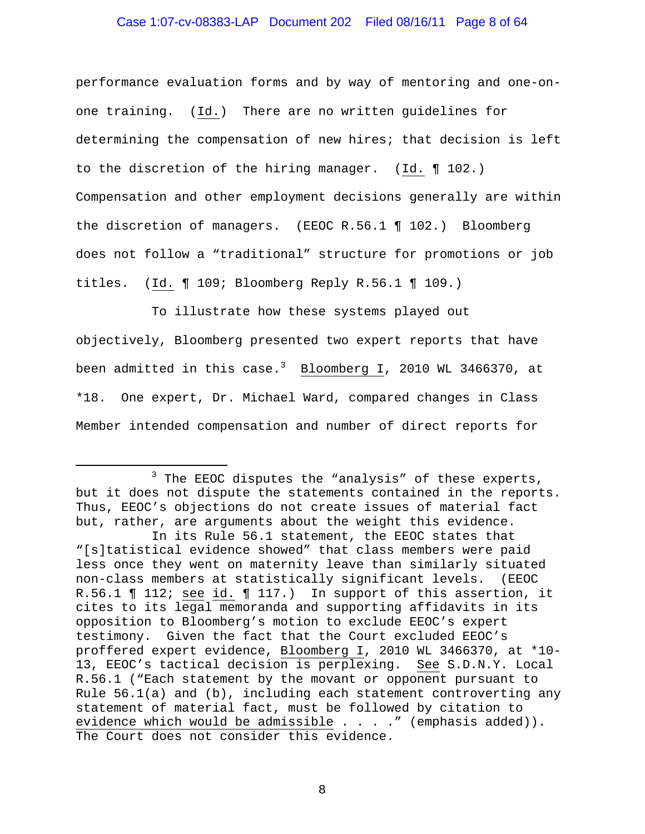#### Case 1:07-cv-08383-LAP Document 202 Filed 08/16/11 Page 8 of 64

performance evaluation forms and by way of mentoring and one-onone training. (Id.) There are no written guidelines for determining the compensation of new hires; that decision is left to the discretion of the hiring manager. (Id. ¶ 102.) Compensation and other employment decisions generally are within the discretion of managers. (EEOC R.56.1 ¶ 102.) Bloomberg does not follow a "traditional" structure for promotions or job titles. (Id. ¶ 109; Bloomberg Reply R.56.1 ¶ 109.)

 To illustrate how these systems played out objectively, Bloomberg presented two expert reports that have been admitted in this case. $^3$   $\,$  Bloomberg I, 2010 WL 3466370, at \*18. One expert, Dr. Michael Ward, compared changes in Class Member intended compensation and number of direct reports for

i

<sup>3</sup>  $3$  The EEOC disputes the "analysis" of these experts, but it does not dispute the statements contained in the reports. Thus, EEOC's objections do not create issues of material fact but, rather, are arguments about the weight this evidence.

In its Rule 56.1 statement, the EEOC states that "[s]tatistical evidence showed" that class members were paid less once they went on maternity leave than similarly situated non-class members at statistically significant levels. (EEOC R.56.1 ¶ 112; see id. ¶ 117.) In support of this assertion, it cites to its legal memoranda and supporting affidavits in its opposition to Bloomberg's motion to exclude EEOC's expert testimony. Given the fact that the Court excluded EEOC's proffered expert evidence, Bloomberg I, 2010 WL 3466370, at \*10- 13, EEOC's tactical decision is perplexing. See S.D.N.Y. Local R.56.1 ("Each statement by the movant or opponent pursuant to Rule  $56.1(a)$  and (b), including each statement controverting any statement of material fact, must be followed by citation to evidence which would be admissible . . . . " (emphasis added)). The Court does not consider this evidence.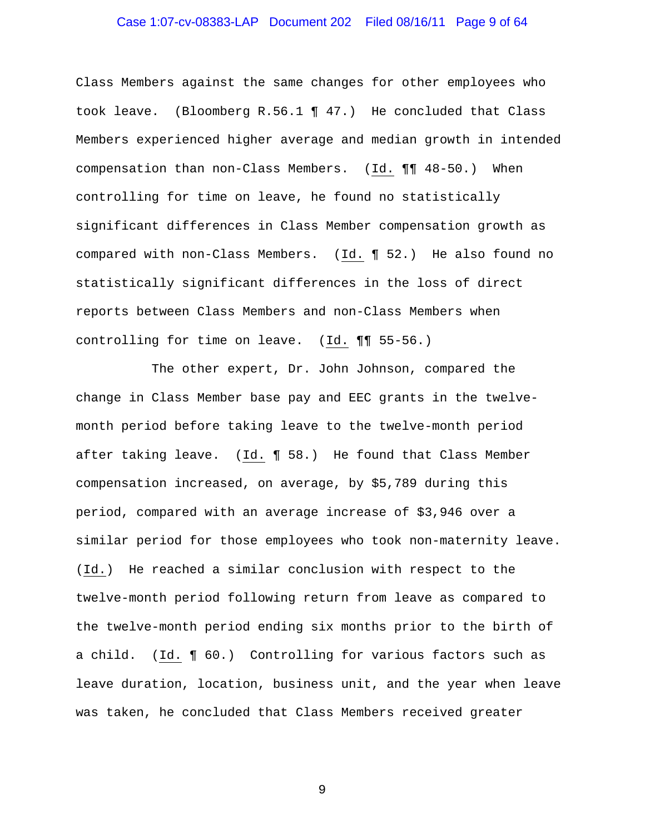# Case 1:07-cv-08383-LAP Document 202 Filed 08/16/11 Page 9 of 64

Class Members against the same changes for other employees who took leave. (Bloomberg R.56.1 ¶ 47.) He concluded that Class Members experienced higher average and median growth in intended compensation than non-Class Members. (Id. ¶¶ 48-50.) When controlling for time on leave, he found no statistically significant differences in Class Member compensation growth as compared with non-Class Members. (Id. ¶ 52.) He also found no statistically significant differences in the loss of direct reports between Class Members and non-Class Members when controlling for time on leave. (Id. ¶¶ 55-56.)

 The other expert, Dr. John Johnson, compared the change in Class Member base pay and EEC grants in the twelvemonth period before taking leave to the twelve-month period after taking leave. (Id. ¶ 58.) He found that Class Member compensation increased, on average, by \$5,789 during this period, compared with an average increase of \$3,946 over a similar period for those employees who took non-maternity leave. (Id.) He reached a similar conclusion with respect to the twelve-month period following return from leave as compared to the twelve-month period ending six months prior to the birth of a child. (Id. ¶ 60.) Controlling for various factors such as leave duration, location, business unit, and the year when leave was taken, he concluded that Class Members received greater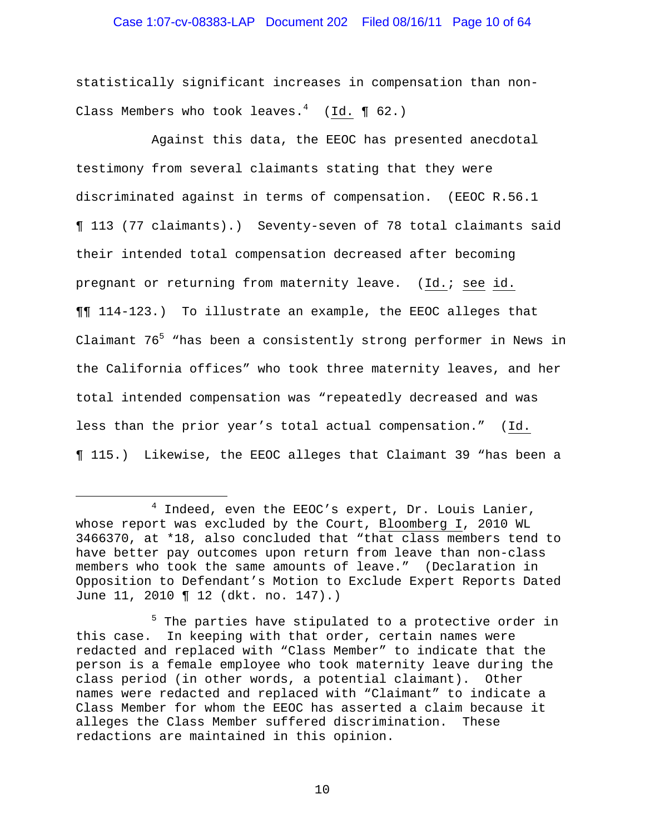# Case 1:07-cv-08383-LAP Document 202 Filed 08/16/11 Page 10 of 64

statistically significant increases in compensation than non-Class Members who took leaves. $^4$  (Id. ¶ 62.)

 Against this data, the EEOC has presented anecdotal testimony from several claimants stating that they were discriminated against in terms of compensation. (EEOC R.56.1 ¶ 113 (77 claimants).) Seventy-seven of 78 total claimants said their intended total compensation decreased after becoming pregnant or returning from maternity leave. (Id.; see id. ¶¶ 114-123.) To illustrate an example, the EEOC alleges that Claimant 76<sup>5</sup> "has been a consistently strong performer in News in the California offices" who took three maternity leaves, and her total intended compensation was "repeatedly decreased and was less than the prior year's total actual compensation." (Id. ¶ 115.) Likewise, the EEOC alleges that Claimant 39 "has been a

 $\overline{\phantom{0}}$ 

<sup>4</sup>  $4$  Indeed, even the EEOC's expert, Dr. Louis Lanier, whose report was excluded by the Court, Bloomberg I, 2010 WL 3466370, at \*18, also concluded that "that class members tend to have better pay outcomes upon return from leave than non-class members who took the same amounts of leave." (Declaration in Opposition to Defendant's Motion to Exclude Expert Reports Dated June 11, 2010 ¶ 12 (dkt. no. 147).)

<sup>5 (1992) 1994 (1995) 1994 (1995) 1995 (1996) 1995 (1995) 1995 (1995) 1995 (1995) 1995 (1995) 1995 (1995) 1995 (1995) 1995 (1995) 1995 (1995) 1995 (1995) 1995 (1995) 1995 (1995) 1995 (1995) 1995 (1995) 1995 (1995) 1995 (199</sup>  $5$  The parties have stipulated to a protective order in this case. In keeping with that order, certain names were redacted and replaced with "Class Member" to indicate that the person is a female employee who took maternity leave during the class period (in other words, a potential claimant). Other names were redacted and replaced with "Claimant" to indicate a Class Member for whom the EEOC has asserted a claim because it alleges the Class Member suffered discrimination. These redactions are maintained in this opinion.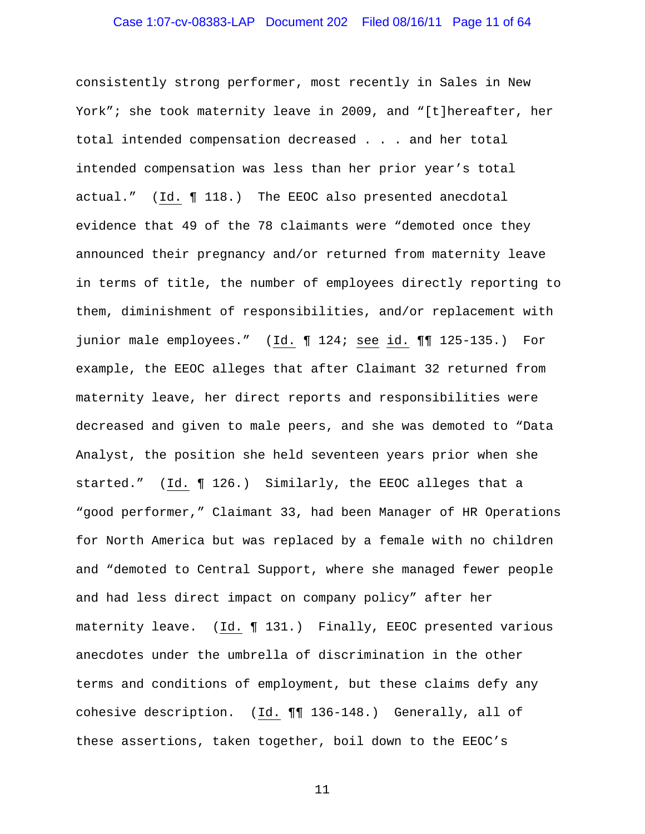# Case 1:07-cv-08383-LAP Document 202 Filed 08/16/11 Page 11 of 64

consistently strong performer, most recently in Sales in New York"; she took maternity leave in 2009, and "[t]hereafter, her total intended compensation decreased . . . and her total intended compensation was less than her prior year's total actual." (Id. ¶ 118.) The EEOC also presented anecdotal evidence that 49 of the 78 claimants were "demoted once they announced their pregnancy and/or returned from maternity leave in terms of title, the number of employees directly reporting to them, diminishment of responsibilities, and/or replacement with junior male employees." (Id. ¶ 124; see id. ¶¶ 125-135.) For example, the EEOC alleges that after Claimant 32 returned from maternity leave, her direct reports and responsibilities were decreased and given to male peers, and she was demoted to "Data Analyst, the position she held seventeen years prior when she started." (Id. ¶ 126.) Similarly, the EEOC alleges that a "good performer," Claimant 33, had been Manager of HR Operations for North America but was replaced by a female with no children and "demoted to Central Support, where she managed fewer people and had less direct impact on company policy" after her maternity leave. (Id. ¶ 131.) Finally, EEOC presented various anecdotes under the umbrella of discrimination in the other terms and conditions of employment, but these claims defy any cohesive description. (Id. ¶¶ 136-148.) Generally, all of these assertions, taken together, boil down to the EEOC's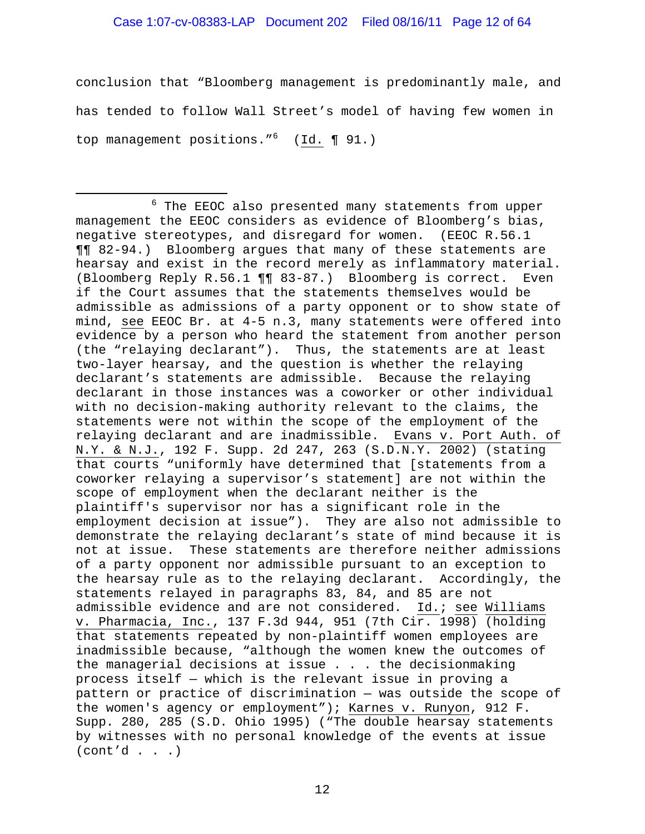#### Case 1:07-cv-08383-LAP Document 202 Filed 08/16/11 Page 12 of 64

conclusion that "Bloomberg management is predominantly male, and has tended to follow Wall Street's model of having few women in top management positions."<sup>6</sup> (Id. 191.)

i <sup>6</sup>  $6$  The EEOC also presented many statements from upper management the EEOC considers as evidence of Bloomberg's bias, negative stereotypes, and disregard for women. (EEOC R.56.1 ¶¶ 82-94.) Bloomberg argues that many of these statements are hearsay and exist in the record merely as inflammatory material. (Bloomberg Reply R.56.1 ¶¶ 83-87.) Bloomberg is correct. Even if the Court assumes that the statements themselves would be admissible as admissions of a party opponent or to show state of mind, see EEOC Br. at 4-5 n.3, many statements were offered into evidence by a person who heard the statement from another person (the "relaying declarant"). Thus, the statements are at least two-layer hearsay, and the question is whether the relaying declarant's statements are admissible. Because the relaying declarant in those instances was a coworker or other individual with no decision-making authority relevant to the claims, the statements were not within the scope of the employment of the relaying declarant and are inadmissible. Evans v. Port Auth. of N.Y. & N.J., 192 F. Supp. 2d 247, 263 (S.D.N.Y. 2002) (stating that courts "uniformly have determined that [statements from a coworker relaying a supervisor's statement] are not within the scope of employment when the declarant neither is the plaintiff's supervisor nor has a significant role in the employment decision at issue"). They are also not admissible to demonstrate the relaying declarant's state of mind because it is not at issue. These statements are therefore neither admissions of a party opponent nor admissible pursuant to an exception to the hearsay rule as to the relaying declarant. Accordingly, the statements relayed in paragraphs 83, 84, and 85 are not admissible evidence and are not considered. Id.; see Williams v. Pharmacia, Inc., 137 F.3d 944, 951 (7th Cir. 1998) (holding that statements repeated by non-plaintiff women employees are inadmissible because, "although the women knew the outcomes of the managerial decisions at issue . . . the decisionmaking process itself — which is the relevant issue in proving a pattern or practice of discrimination — was outside the scope of the women's agency or employment"); Karnes v. Runyon, 912 F. Supp. 280, 285 (S.D. Ohio 1995) ("The double hearsay statements by witnesses with no personal knowledge of the events at issue  $(cont'd . . .)$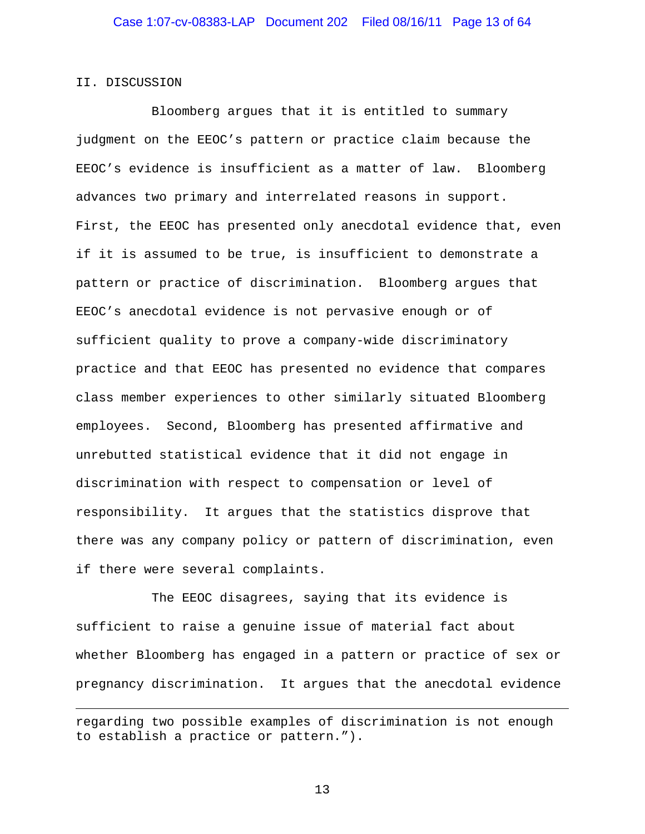#### II. DISCUSSION

i

 Bloomberg argues that it is entitled to summary judgment on the EEOC's pattern or practice claim because the EEOC's evidence is insufficient as a matter of law. Bloomberg advances two primary and interrelated reasons in support. First, the EEOC has presented only anecdotal evidence that, even if it is assumed to be true, is insufficient to demonstrate a pattern or practice of discrimination. Bloomberg argues that EEOC's anecdotal evidence is not pervasive enough or of sufficient quality to prove a company-wide discriminatory practice and that EEOC has presented no evidence that compares class member experiences to other similarly situated Bloomberg employees. Second, Bloomberg has presented affirmative and unrebutted statistical evidence that it did not engage in discrimination with respect to compensation or level of responsibility. It argues that the statistics disprove that there was any company policy or pattern of discrimination, even if there were several complaints.

 The EEOC disagrees, saying that its evidence is sufficient to raise a genuine issue of material fact about whether Bloomberg has engaged in a pattern or practice of sex or pregnancy discrimination. It argues that the anecdotal evidence

regarding two possible examples of discrimination is not enough to establish a practice or pattern.").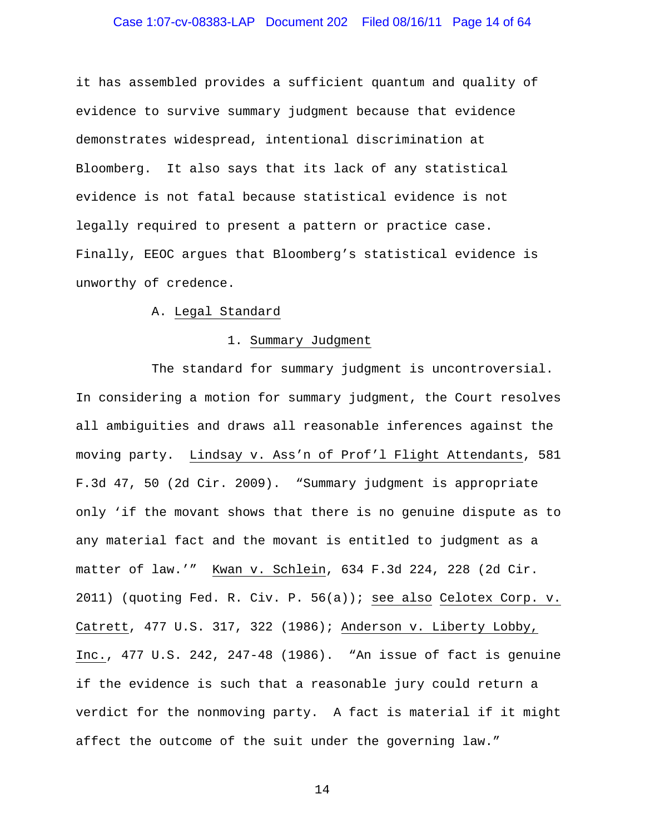# Case 1:07-cv-08383-LAP Document 202 Filed 08/16/11 Page 14 of 64

it has assembled provides a sufficient quantum and quality of evidence to survive summary judgment because that evidence demonstrates widespread, intentional discrimination at Bloomberg. It also says that its lack of any statistical evidence is not fatal because statistical evidence is not legally required to present a pattern or practice case. Finally, EEOC argues that Bloomberg's statistical evidence is unworthy of credence.

#### A. Legal Standard

#### 1. Summary Judgment

 The standard for summary judgment is uncontroversial. In considering a motion for summary judgment, the Court resolves all ambiguities and draws all reasonable inferences against the moving party. Lindsay v. Ass'n of Prof'l Flight Attendants, 581 F.3d 47, 50 (2d Cir. 2009). "Summary judgment is appropriate only 'if the movant shows that there is no genuine dispute as to any material fact and the movant is entitled to judgment as a matter of law.'" Kwan v. Schlein, 634 F.3d 224, 228 (2d Cir. 2011) (quoting Fed. R. Civ. P. 56(a)); see also Celotex Corp. v. Catrett, 477 U.S. 317, 322 (1986); Anderson v. Liberty Lobby, Inc., 477 U.S. 242, 247-48 (1986). "An issue of fact is genuine if the evidence is such that a reasonable jury could return a verdict for the nonmoving party. A fact is material if it might affect the outcome of the suit under the governing law."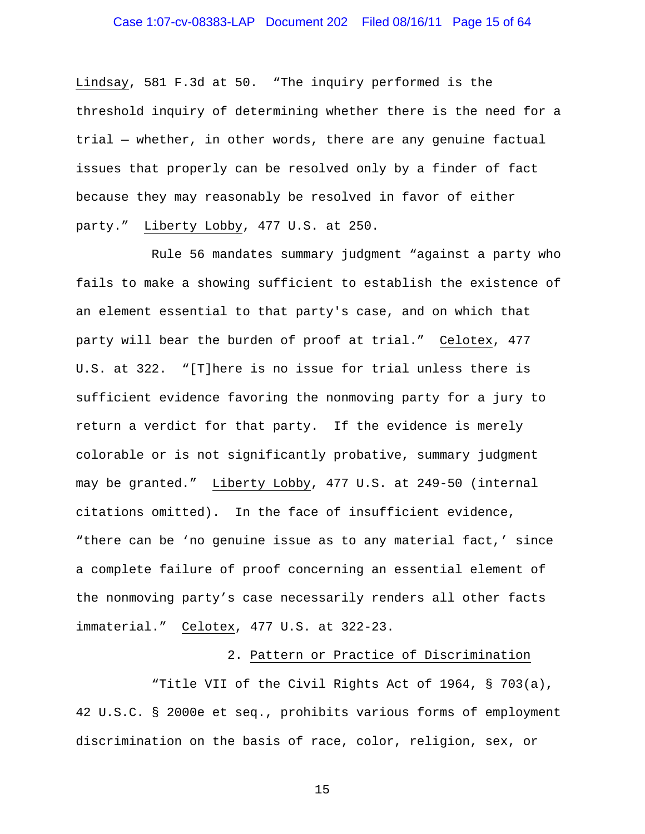# Case 1:07-cv-08383-LAP Document 202 Filed 08/16/11 Page 15 of 64

Lindsay, 581 F.3d at 50. "The inquiry performed is the threshold inquiry of determining whether there is the need for a trial — whether, in other words, there are any genuine factual issues that properly can be resolved only by a finder of fact because they may reasonably be resolved in favor of either party." Liberty Lobby, 477 U.S. at 250.

 Rule 56 mandates summary judgment "against a party who fails to make a showing sufficient to establish the existence of an element essential to that party's case, and on which that party will bear the burden of proof at trial." Celotex, 477 U.S. at 322. "[T]here is no issue for trial unless there is sufficient evidence favoring the nonmoving party for a jury to return a verdict for that party. If the evidence is merely colorable or is not significantly probative, summary judgment may be granted." Liberty Lobby, 477 U.S. at 249-50 (internal citations omitted). In the face of insufficient evidence, "there can be 'no genuine issue as to any material fact,' since a complete failure of proof concerning an essential element of the nonmoving party's case necessarily renders all other facts immaterial." Celotex, 477 U.S. at 322-23.

#### 2. Pattern or Practice of Discrimination

 "Title VII of the Civil Rights Act of 1964, § 703(a), 42 U.S.C. § 2000e et seq., prohibits various forms of employment discrimination on the basis of race, color, religion, sex, or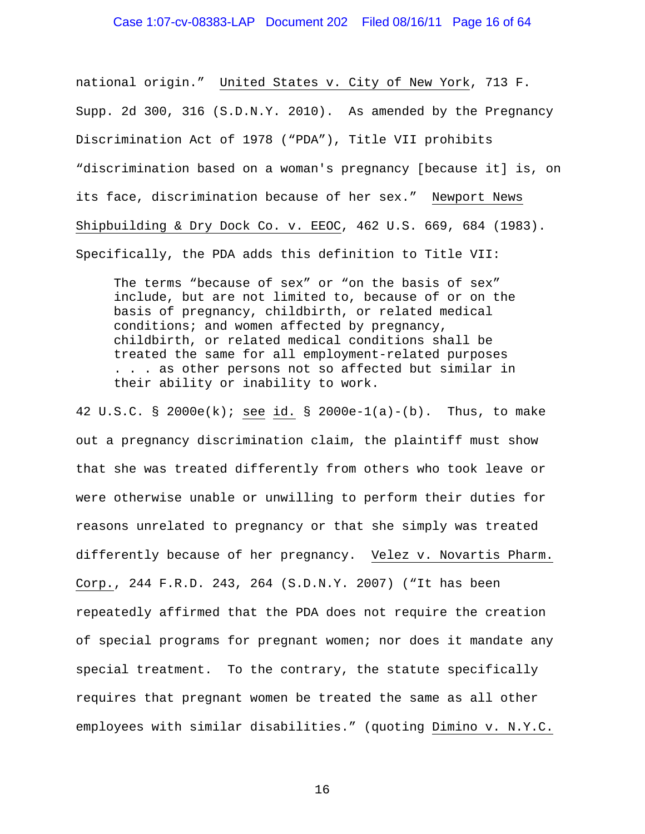#### Case 1:07-cv-08383-LAP Document 202 Filed 08/16/11 Page 16 of 64

national origin." United States v. City of New York, 713 F. Supp. 2d 300, 316 (S.D.N.Y. 2010). As amended by the Pregnancy Discrimination Act of 1978 ("PDA"), Title VII prohibits "discrimination based on a woman's pregnancy [because it] is, on its face, discrimination because of her sex." Newport News Shipbuilding & Dry Dock Co. v. EEOC, 462 U.S. 669, 684 (1983). Specifically, the PDA adds this definition to Title VII:

The terms "because of sex" or "on the basis of sex" include, but are not limited to, because of or on the basis of pregnancy, childbirth, or related medical conditions; and women affected by pregnancy, childbirth, or related medical conditions shall be treated the same for all employment-related purposes . . . as other persons not so affected but similar in their ability or inability to work.

42 U.S.C. § 2000e(k); see id. § 2000e-1(a)-(b). Thus, to make out a pregnancy discrimination claim, the plaintiff must show that she was treated differently from others who took leave or were otherwise unable or unwilling to perform their duties for reasons unrelated to pregnancy or that she simply was treated differently because of her pregnancy. Velez v. Novartis Pharm. Corp., 244 F.R.D. 243, 264 (S.D.N.Y. 2007) ("It has been repeatedly affirmed that the PDA does not require the creation of special programs for pregnant women; nor does it mandate any special treatment. To the contrary, the statute specifically requires that pregnant women be treated the same as all other employees with similar disabilities." (quoting Dimino v. N.Y.C.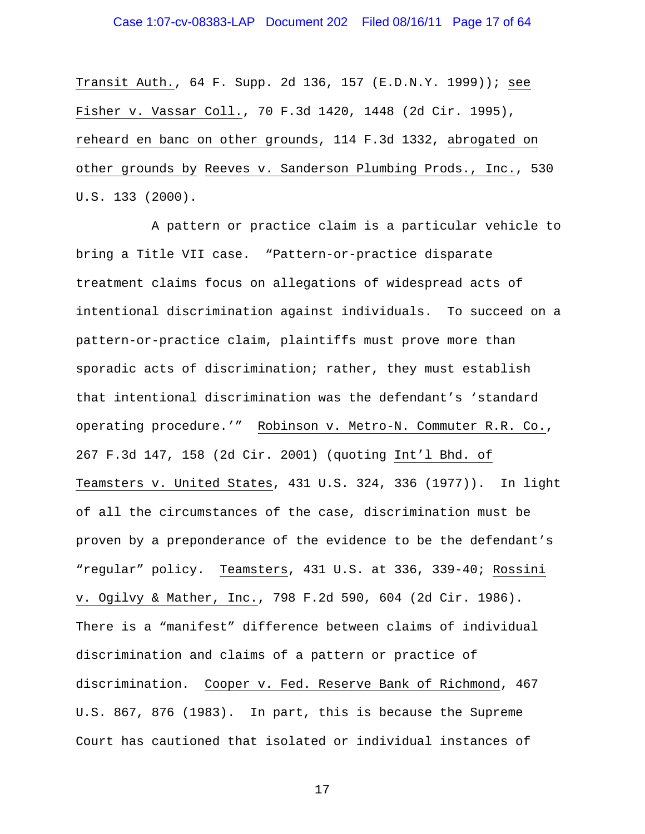# Case 1:07-cv-08383-LAP Document 202 Filed 08/16/11 Page 17 of 64

Transit Auth., 64 F. Supp. 2d 136, 157 (E.D.N.Y. 1999)); see Fisher v. Vassar Coll., 70 F.3d 1420, 1448 (2d Cir. 1995), reheard en banc on other grounds, 114 F.3d 1332, abrogated on other grounds by Reeves v. Sanderson Plumbing Prods., Inc., 530 U.S. 133 (2000).

 A pattern or practice claim is a particular vehicle to bring a Title VII case. "Pattern-or-practice disparate treatment claims focus on allegations of widespread acts of intentional discrimination against individuals. To succeed on a pattern-or-practice claim, plaintiffs must prove more than sporadic acts of discrimination; rather, they must establish that intentional discrimination was the defendant's 'standard operating procedure.'" Robinson v. Metro-N. Commuter R.R. Co., 267 F.3d 147, 158 (2d Cir. 2001) (quoting Int'l Bhd. of Teamsters v. United States, 431 U.S. 324, 336 (1977)). In light of all the circumstances of the case, discrimination must be proven by a preponderance of the evidence to be the defendant's "regular" policy. Teamsters, 431 U.S. at 336, 339-40; Rossini v. Ogilvy & Mather, Inc., 798 F.2d 590, 604 (2d Cir. 1986). There is a "manifest" difference between claims of individual discrimination and claims of a pattern or practice of discrimination. Cooper v. Fed. Reserve Bank of Richmond, 467 U.S. 867, 876 (1983). In part, this is because the Supreme Court has cautioned that isolated or individual instances of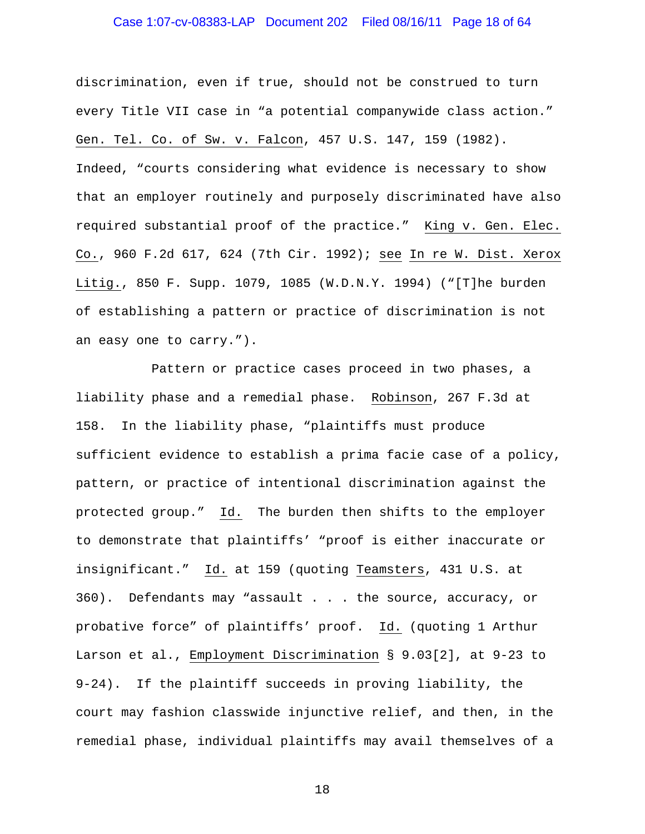# Case 1:07-cv-08383-LAP Document 202 Filed 08/16/11 Page 18 of 64

discrimination, even if true, should not be construed to turn every Title VII case in "a potential companywide class action." Gen. Tel. Co. of Sw. v. Falcon, 457 U.S. 147, 159 (1982). Indeed, "courts considering what evidence is necessary to show that an employer routinely and purposely discriminated have also required substantial proof of the practice." King v. Gen. Elec. Co., 960 F.2d 617, 624 (7th Cir. 1992); see In re W. Dist. Xerox Litig., 850 F. Supp. 1079, 1085 (W.D.N.Y. 1994) ("[T]he burden of establishing a pattern or practice of discrimination is not an easy one to carry.").

 Pattern or practice cases proceed in two phases, a liability phase and a remedial phase. Robinson, 267 F.3d at 158. In the liability phase, "plaintiffs must produce sufficient evidence to establish a prima facie case of a policy, pattern, or practice of intentional discrimination against the protected group." Id. The burden then shifts to the employer to demonstrate that plaintiffs' "proof is either inaccurate or insignificant." Id. at 159 (quoting Teamsters, 431 U.S. at 360). Defendants may "assault . . . the source, accuracy, or probative force" of plaintiffs' proof. Id. (quoting 1 Arthur Larson et al., Employment Discrimination § 9.03[2], at 9-23 to 9-24). If the plaintiff succeeds in proving liability, the court may fashion classwide injunctive relief, and then, in the remedial phase, individual plaintiffs may avail themselves of a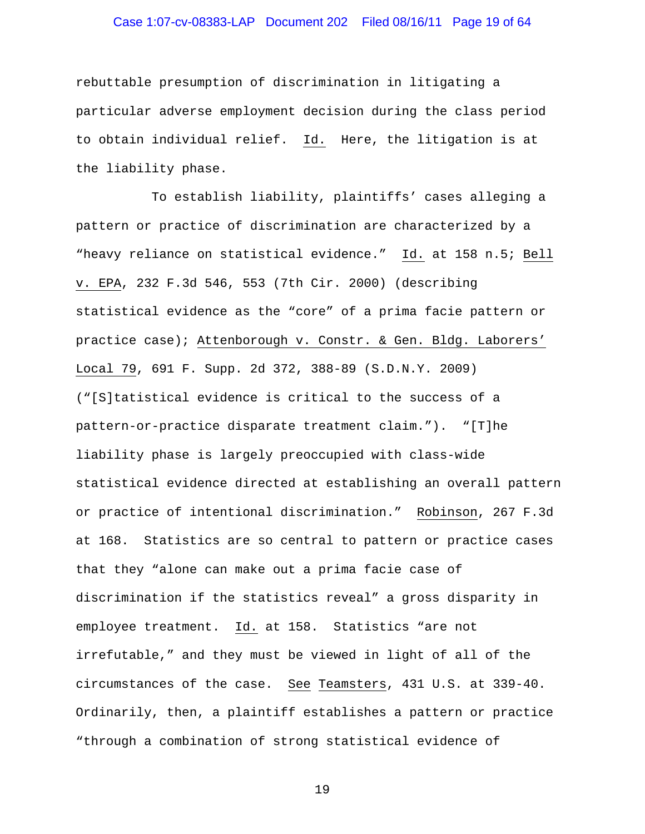# Case 1:07-cv-08383-LAP Document 202 Filed 08/16/11 Page 19 of 64

rebuttable presumption of discrimination in litigating a particular adverse employment decision during the class period to obtain individual relief. Id. Here, the litigation is at the liability phase.

 To establish liability, plaintiffs' cases alleging a pattern or practice of discrimination are characterized by a "heavy reliance on statistical evidence." Id. at 158 n.5; Bell v. EPA, 232 F.3d 546, 553 (7th Cir. 2000) (describing statistical evidence as the "core" of a prima facie pattern or practice case); Attenborough v. Constr. & Gen. Bldg. Laborers' Local 79, 691 F. Supp. 2d 372, 388-89 (S.D.N.Y. 2009) ("[S]tatistical evidence is critical to the success of a pattern-or-practice disparate treatment claim."). "[T]he liability phase is largely preoccupied with class-wide statistical evidence directed at establishing an overall pattern or practice of intentional discrimination." Robinson, 267 F.3d at 168. Statistics are so central to pattern or practice cases that they "alone can make out a prima facie case of discrimination if the statistics reveal" a gross disparity in employee treatment. Id. at 158. Statistics "are not irrefutable," and they must be viewed in light of all of the circumstances of the case. See Teamsters, 431 U.S. at 339-40. Ordinarily, then, a plaintiff establishes a pattern or practice "through a combination of strong statistical evidence of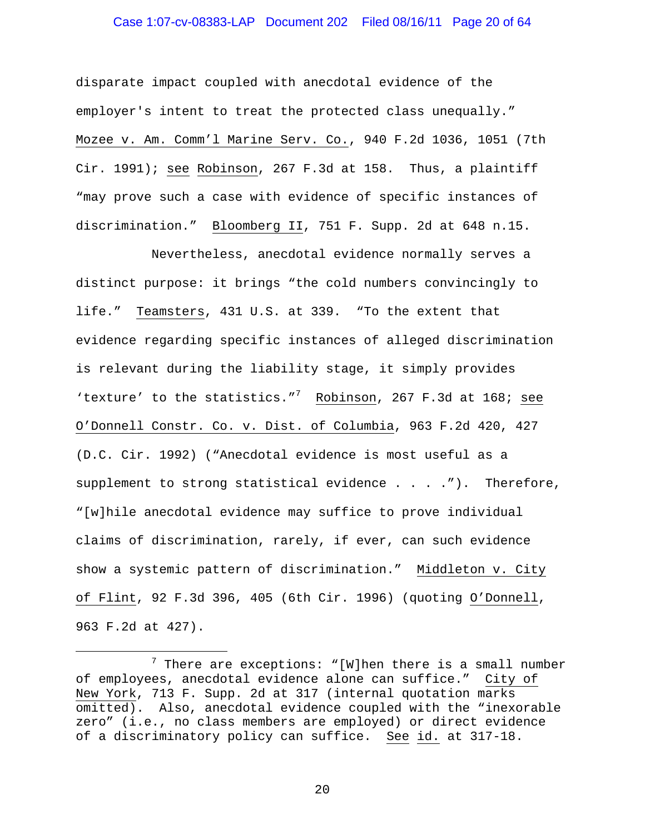#### Case 1:07-cv-08383-LAP Document 202 Filed 08/16/11 Page 20 of 64

disparate impact coupled with anecdotal evidence of the employer's intent to treat the protected class unequally." Mozee v. Am. Comm'l Marine Serv. Co., 940 F.2d 1036, 1051 (7th Cir. 1991); see Robinson, 267 F.3d at 158. Thus, a plaintiff "may prove such a case with evidence of specific instances of discrimination." Bloomberg II, 751 F. Supp. 2d at 648 n.15.

 Nevertheless, anecdotal evidence normally serves a distinct purpose: it brings "the cold numbers convincingly to life." Teamsters, 431 U.S. at 339. "To the extent that evidence regarding specific instances of alleged discrimination is relevant during the liability stage, it simply provides 'texture' to the statistics."<sup>7</sup> Robinson, 267 F.3d at 168; see O'Donnell Constr. Co. v. Dist. of Columbia, 963 F.2d 420, 427 (D.C. Cir. 1992) ("Anecdotal evidence is most useful as a supplement to strong statistical evidence  $\ldots$  . . . . . Therefore, "[w]hile anecdotal evidence may suffice to prove individual claims of discrimination, rarely, if ever, can such evidence show a systemic pattern of discrimination." Middleton v. City of Flint, 92 F.3d 396, 405 (6th Cir. 1996) (quoting O'Donnell, 963 F.2d at 427).

i

<sup>7</sup>  $7$  There are exceptions: "[W]hen there is a small number of employees, anecdotal evidence alone can suffice." City of New York, 713 F. Supp. 2d at 317 (internal quotation marks omitted). Also, anecdotal evidence coupled with the "inexorable zero" (i.e., no class members are employed) or direct evidence of a discriminatory policy can suffice. See id. at 317-18.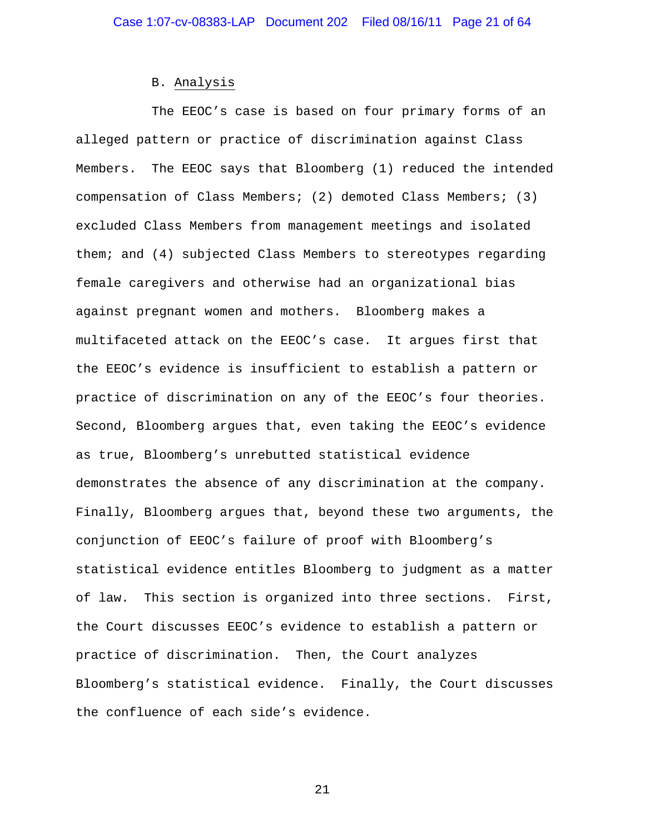#### B. Analysis

 The EEOC's case is based on four primary forms of an alleged pattern or practice of discrimination against Class Members. The EEOC says that Bloomberg (1) reduced the intended compensation of Class Members; (2) demoted Class Members; (3) excluded Class Members from management meetings and isolated them; and (4) subjected Class Members to stereotypes regarding female caregivers and otherwise had an organizational bias against pregnant women and mothers. Bloomberg makes a multifaceted attack on the EEOC's case. It argues first that the EEOC's evidence is insufficient to establish a pattern or practice of discrimination on any of the EEOC's four theories. Second, Bloomberg argues that, even taking the EEOC's evidence as true, Bloomberg's unrebutted statistical evidence demonstrates the absence of any discrimination at the company. Finally, Bloomberg argues that, beyond these two arguments, the conjunction of EEOC's failure of proof with Bloomberg's statistical evidence entitles Bloomberg to judgment as a matter of law. This section is organized into three sections. First, the Court discusses EEOC's evidence to establish a pattern or practice of discrimination. Then, the Court analyzes Bloomberg's statistical evidence. Finally, the Court discusses the confluence of each side's evidence.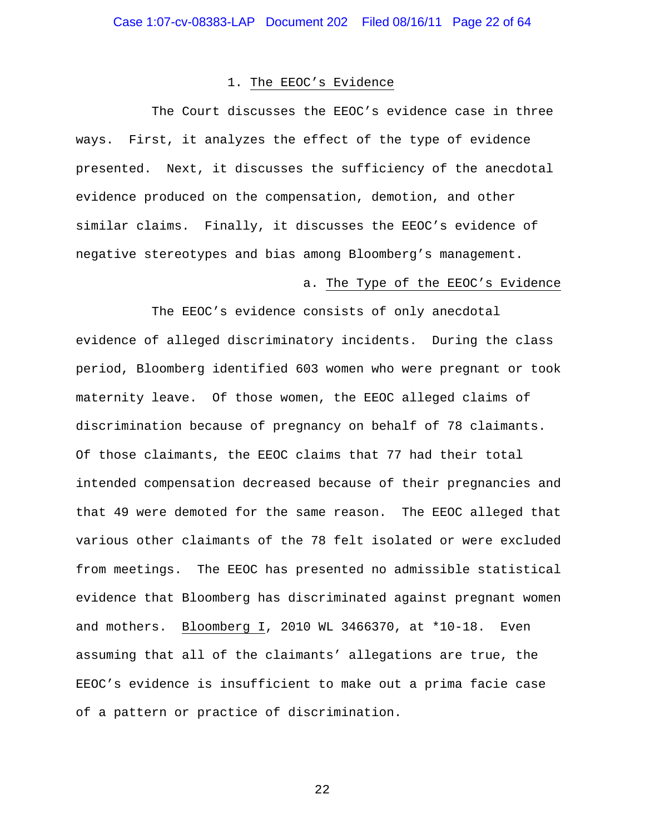#### 1. The EEOC's Evidence

 The Court discusses the EEOC's evidence case in three ways. First, it analyzes the effect of the type of evidence presented. Next, it discusses the sufficiency of the anecdotal evidence produced on the compensation, demotion, and other similar claims. Finally, it discusses the EEOC's evidence of negative stereotypes and bias among Bloomberg's management.

#### a. The Type of the EEOC's Evidence

 The EEOC's evidence consists of only anecdotal evidence of alleged discriminatory incidents. During the class period, Bloomberg identified 603 women who were pregnant or took maternity leave. Of those women, the EEOC alleged claims of discrimination because of pregnancy on behalf of 78 claimants. Of those claimants, the EEOC claims that 77 had their total intended compensation decreased because of their pregnancies and that 49 were demoted for the same reason. The EEOC alleged that various other claimants of the 78 felt isolated or were excluded from meetings. The EEOC has presented no admissible statistical evidence that Bloomberg has discriminated against pregnant women and mothers. Bloomberg I, 2010 WL 3466370, at \*10-18. Even assuming that all of the claimants' allegations are true, the EEOC's evidence is insufficient to make out a prima facie case of a pattern or practice of discrimination.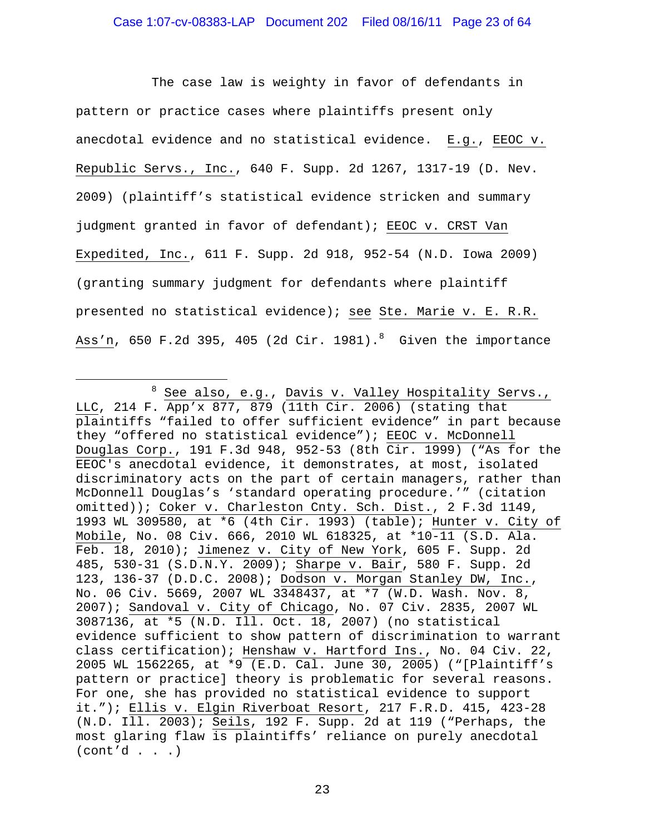The case law is weighty in favor of defendants in pattern or practice cases where plaintiffs present only anecdotal evidence and no statistical evidence. E.g., EEOC v. Republic Servs., Inc., 640 F. Supp. 2d 1267, 1317-19 (D. Nev. 2009) (plaintiff's statistical evidence stricken and summary judgment granted in favor of defendant); EEOC v. CRST Van Expedited, Inc., 611 F. Supp. 2d 918, 952-54 (N.D. Iowa 2009) (granting summary judgment for defendants where plaintiff presented no statistical evidence); see Ste. Marie v. E. R.R. Ass'n, 650 F.2d 395, 405 (2d Cir. 1981). $^8$  Given the importance

i<br>Li

<sup>&</sup>lt;sup>8</sup> See also, e.g., Davis v. Valley Hospitality Servs., LLC, 214 F. App'x 877, 879 (11th Cir. 2006) (stating that plaintiffs "failed to offer sufficient evidence" in part because they "offered no statistical evidence"); EEOC v. McDonnell Douglas Corp., 191 F.3d 948, 952-53 (8th Cir. 1999) ("As for the EEOC's anecdotal evidence, it demonstrates, at most, isolated discriminatory acts on the part of certain managers, rather than McDonnell Douglas's 'standard operating procedure.'" (citation omitted)); Coker v. Charleston Cnty. Sch. Dist., 2 F.3d 1149, 1993 WL 309580, at \*6 (4th Cir. 1993) (table); Hunter v. City of Mobile, No. 08 Civ. 666, 2010 WL 618325, at \*10-11 (S.D. Ala. Feb. 18, 2010); Jimenez v. City of New York, 605 F. Supp. 2d 485, 530-31 (S.D.N.Y. 2009); Sharpe v. Bair, 580 F. Supp. 2d 123, 136-37 (D.D.C. 2008); Dodson v. Morgan Stanley DW, Inc., No. 06 Civ. 5669, 2007 WL 3348437, at \*7 (W.D. Wash. Nov. 8, 2007); Sandoval v. City of Chicago, No. 07 Civ. 2835, 2007 WL 3087136, at \*5 (N.D. Ill. Oct. 18, 2007) (no statistical evidence sufficient to show pattern of discrimination to warrant class certification); Henshaw v. Hartford Ins., No. 04 Civ. 22, 2005 WL 1562265, at \*9 (E.D. Cal. June 30, 2005) ("[Plaintiff's pattern or practice] theory is problematic for several reasons. For one, she has provided no statistical evidence to support it."); Ellis v. Elgin Riverboat Resort, 217 F.R.D. 415, 423-28 (N.D. Ill. 2003); Seils, 192 F. Supp. 2d at 119 ("Perhaps, the most glaring flaw is plaintiffs' reliance on purely anecdotal  $(cont'd . . .)$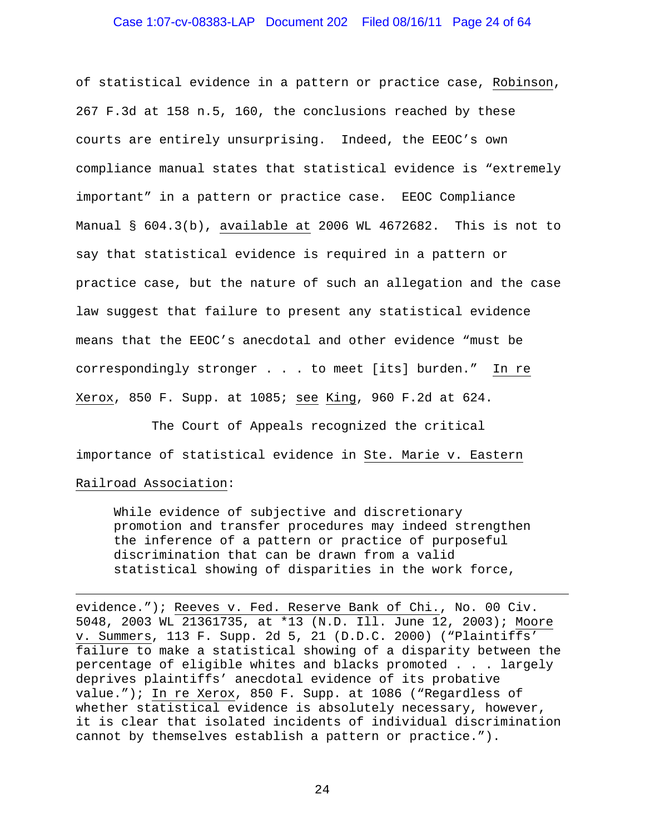#### Case 1:07-cv-08383-LAP Document 202 Filed 08/16/11 Page 24 of 64

of statistical evidence in a pattern or practice case, Robinson, 267 F.3d at 158 n.5, 160, the conclusions reached by these courts are entirely unsurprising. Indeed, the EEOC's own compliance manual states that statistical evidence is "extremely important" in a pattern or practice case. EEOC Compliance Manual § 604.3(b), available at 2006 WL 4672682. This is not to say that statistical evidence is required in a pattern or practice case, but the nature of such an allegation and the case law suggest that failure to present any statistical evidence means that the EEOC's anecdotal and other evidence "must be correspondingly stronger . . . to meet [its] burden." In re Xerox, 850 F. Supp. at 1085; see King, 960 F.2d at 624.

 The Court of Appeals recognized the critical importance of statistical evidence in Ste. Marie v. Eastern Railroad Association:

i

While evidence of subjective and discretionary promotion and transfer procedures may indeed strengthen the inference of a pattern or practice of purposeful discrimination that can be drawn from a valid statistical showing of disparities in the work force,

evidence."); Reeves v. Fed. Reserve Bank of Chi., No. 00 Civ. 5048, 2003 WL 21361735, at \*13 (N.D. Ill. June 12, 2003); Moore v. Summers, 113 F. Supp. 2d 5, 21 (D.D.C. 2000) ("Plaintiffs' failure to make a statistical showing of a disparity between the percentage of eligible whites and blacks promoted . . . largely deprives plaintiffs' anecdotal evidence of its probative value."); In re Xerox, 850 F. Supp. at 1086 ("Regardless of whether statistical evidence is absolutely necessary, however, it is clear that isolated incidents of individual discrimination cannot by themselves establish a pattern or practice.").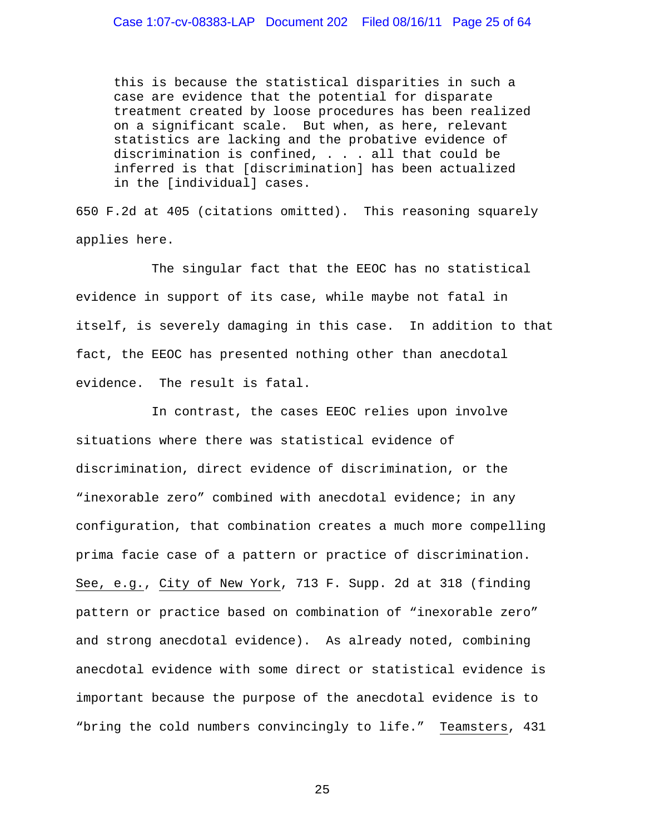this is because the statistical disparities in such a case are evidence that the potential for disparate treatment created by loose procedures has been realized on a significant scale. But when, as here, relevant statistics are lacking and the probative evidence of discrimination is confined, . . . all that could be inferred is that [discrimination] has been actualized in the [individual] cases.

650 F.2d at 405 (citations omitted). This reasoning squarely applies here.

 The singular fact that the EEOC has no statistical evidence in support of its case, while maybe not fatal in itself, is severely damaging in this case. In addition to that fact, the EEOC has presented nothing other than anecdotal evidence. The result is fatal.

 In contrast, the cases EEOC relies upon involve situations where there was statistical evidence of discrimination, direct evidence of discrimination, or the "inexorable zero" combined with anecdotal evidence; in any configuration, that combination creates a much more compelling prima facie case of a pattern or practice of discrimination. See, e.g., City of New York, 713 F. Supp. 2d at 318 (finding pattern or practice based on combination of "inexorable zero" and strong anecdotal evidence). As already noted, combining anecdotal evidence with some direct or statistical evidence is important because the purpose of the anecdotal evidence is to "bring the cold numbers convincingly to life." Teamsters, 431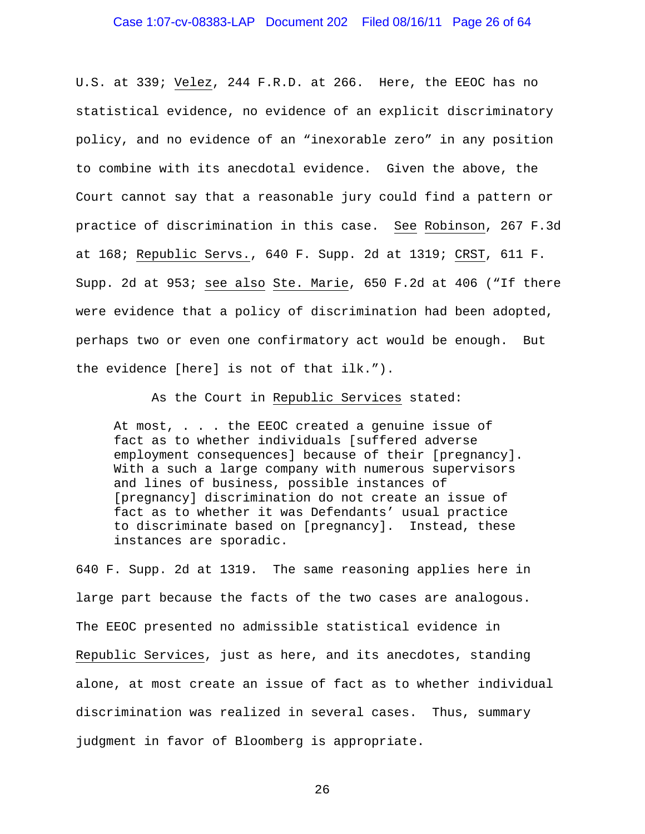U.S. at 339; Velez, 244 F.R.D. at 266. Here, the EEOC has no statistical evidence, no evidence of an explicit discriminatory policy, and no evidence of an "inexorable zero" in any position to combine with its anecdotal evidence. Given the above, the Court cannot say that a reasonable jury could find a pattern or practice of discrimination in this case. See Robinson, 267 F.3d at 168; Republic Servs., 640 F. Supp. 2d at 1319; CRST, 611 F. Supp. 2d at 953; see also Ste. Marie, 650 F.2d at 406 ("If there were evidence that a policy of discrimination had been adopted, perhaps two or even one confirmatory act would be enough. But the evidence [here] is not of that ilk.").

As the Court in Republic Services stated:

At most, . . . the EEOC created a genuine issue of fact as to whether individuals [suffered adverse employment consequences] because of their [pregnancy]. With a such a large company with numerous supervisors and lines of business, possible instances of [pregnancy] discrimination do not create an issue of fact as to whether it was Defendants' usual practice to discriminate based on [pregnancy]. Instead, these instances are sporadic.

640 F. Supp. 2d at 1319. The same reasoning applies here in large part because the facts of the two cases are analogous. The EEOC presented no admissible statistical evidence in Republic Services, just as here, and its anecdotes, standing alone, at most create an issue of fact as to whether individual discrimination was realized in several cases. Thus, summary judgment in favor of Bloomberg is appropriate.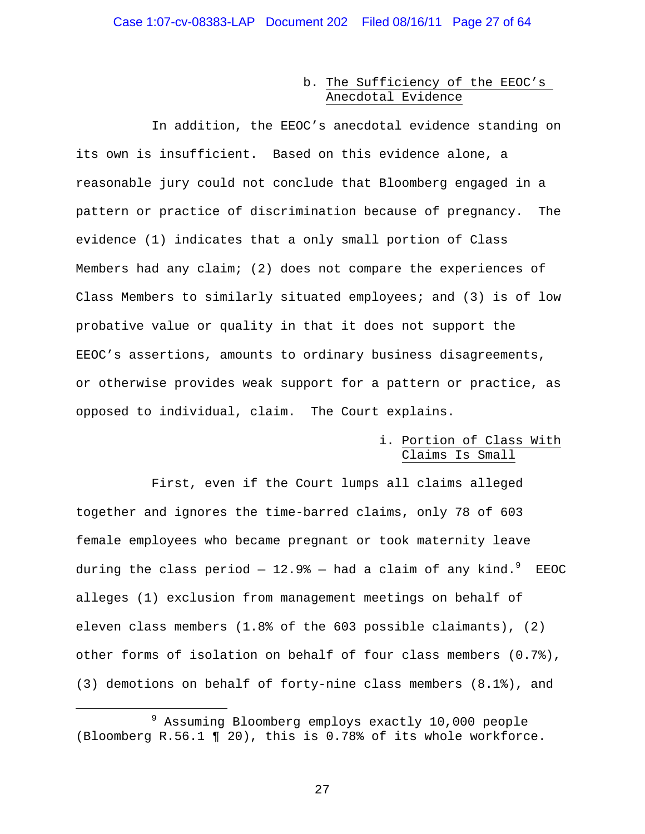#### b. The Sufficiency of the EEOC's Anecdotal Evidence

 In addition, the EEOC's anecdotal evidence standing on its own is insufficient. Based on this evidence alone, a reasonable jury could not conclude that Bloomberg engaged in a pattern or practice of discrimination because of pregnancy. The evidence (1) indicates that a only small portion of Class Members had any claim; (2) does not compare the experiences of Class Members to similarly situated employees; and (3) is of low probative value or quality in that it does not support the EEOC's assertions, amounts to ordinary business disagreements, or otherwise provides weak support for a pattern or practice, as opposed to individual, claim. The Court explains.

#### i. Portion of Class With Claims Is Small

 First, even if the Court lumps all claims alleged together and ignores the time-barred claims, only 78 of 603 female employees who became pregnant or took maternity leave during the class period  $-$  12.9%  $-$  had a claim of any kind. $^9$  EEOC alleges (1) exclusion from management meetings on behalf of eleven class members (1.8% of the 603 possible claimants), (2) other forms of isolation on behalf of four class members (0.7%), (3) demotions on behalf of forty-nine class members (8.1%), and

 $\overline{\phantom{0}}$ 

<sup>9</sup> <sup>9</sup> Assuming Bloomberg employs exactly 10,000 people (Bloomberg R.56.1 ¶ 20), this is 0.78% of its whole workforce.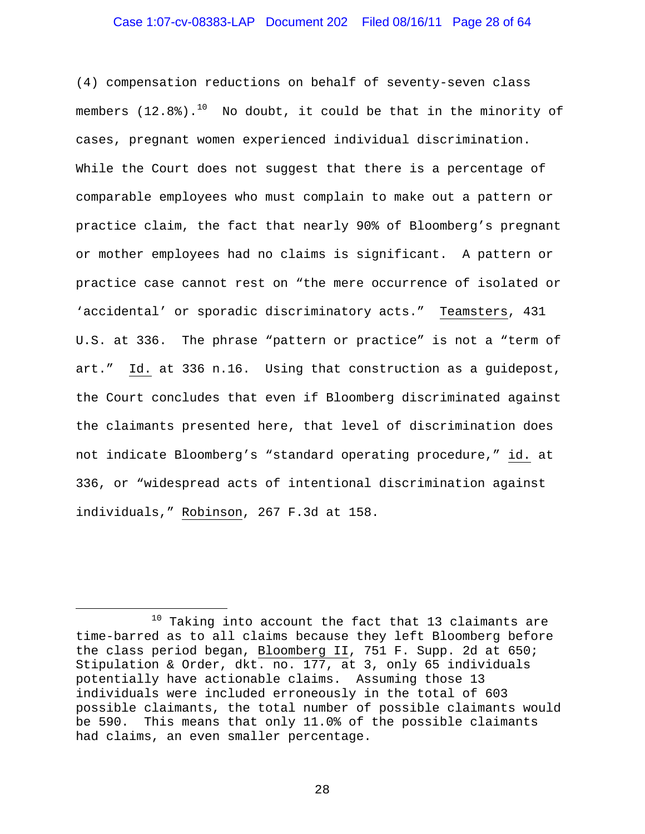#### Case 1:07-cv-08383-LAP Document 202 Filed 08/16/11 Page 28 of 64

(4) compensation reductions on behalf of seventy-seven class members  $(12.8)$ .<sup>10</sup> No doubt, it could be that in the minority of cases, pregnant women experienced individual discrimination. While the Court does not suggest that there is a percentage of comparable employees who must complain to make out a pattern or practice claim, the fact that nearly 90% of Bloomberg's pregnant or mother employees had no claims is significant. A pattern or practice case cannot rest on "the mere occurrence of isolated or 'accidental' or sporadic discriminatory acts." Teamsters, 431 U.S. at 336. The phrase "pattern or practice" is not a "term of art." Id. at 336 n.16. Using that construction as a guidepost, the Court concludes that even if Bloomberg discriminated against the claimants presented here, that level of discrimination does not indicate Bloomberg's "standard operating procedure," id. at 336, or "widespread acts of intentional discrimination against individuals," Robinson, 267 F.3d at 158.

i<br>Li

 $10$  Taking into account the fact that 13 claimants are time-barred as to all claims because they left Bloomberg before the class period began, Bloomberg II, 751 F. Supp. 2d at 650; Stipulation & Order, dkt. no. 177, at 3, only 65 individuals potentially have actionable claims. Assuming those 13 individuals were included erroneously in the total of 603 possible claimants, the total number of possible claimants would be 590. This means that only 11.0% of the possible claimants had claims, an even smaller percentage.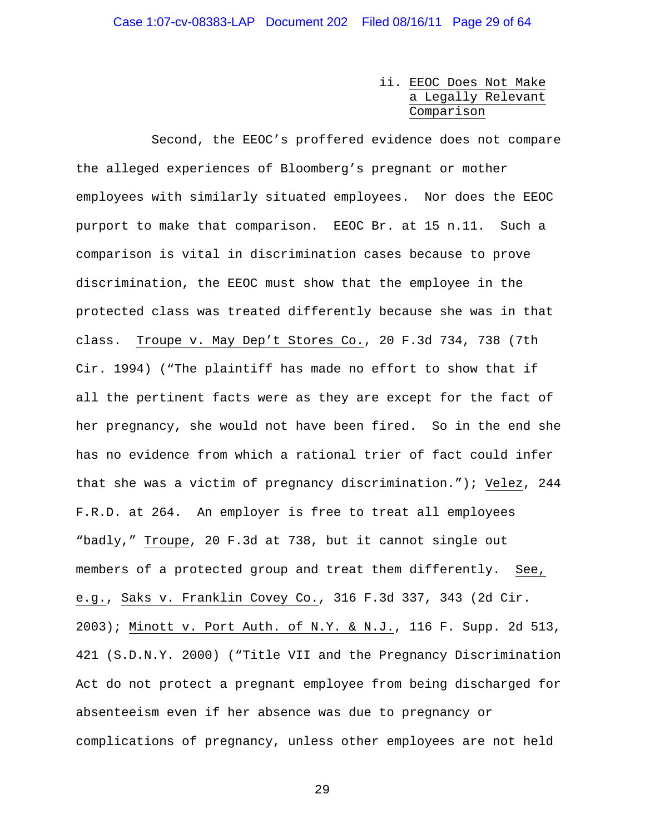#### ii. EEOC Does Not Make a Legally Relevant Comparison

 Second, the EEOC's proffered evidence does not compare the alleged experiences of Bloomberg's pregnant or mother employees with similarly situated employees. Nor does the EEOC purport to make that comparison. EEOC Br. at 15 n.11. Such a comparison is vital in discrimination cases because to prove discrimination, the EEOC must show that the employee in the protected class was treated differently because she was in that class. Troupe v. May Dep't Stores Co., 20 F.3d 734, 738 (7th Cir. 1994) ("The plaintiff has made no effort to show that if all the pertinent facts were as they are except for the fact of her pregnancy, she would not have been fired. So in the end she has no evidence from which a rational trier of fact could infer that she was a victim of pregnancy discrimination."); Velez, 244 F.R.D. at 264. An employer is free to treat all employees "badly," Troupe, 20 F.3d at 738, but it cannot single out members of a protected group and treat them differently. See, e.g., Saks v. Franklin Covey Co., 316 F.3d 337, 343 (2d Cir. 2003); Minott v. Port Auth. of N.Y. & N.J., 116 F. Supp. 2d 513, 421 (S.D.N.Y. 2000) ("Title VII and the Pregnancy Discrimination Act do not protect a pregnant employee from being discharged for absenteeism even if her absence was due to pregnancy or complications of pregnancy, unless other employees are not held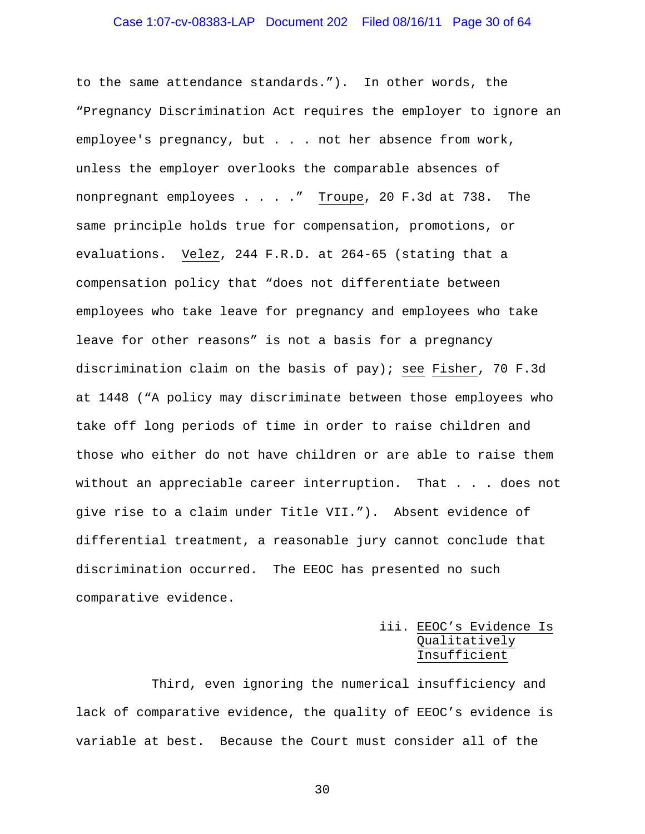# Case 1:07-cv-08383-LAP Document 202 Filed 08/16/11 Page 30 of 64

to the same attendance standards."). In other words, the "Pregnancy Discrimination Act requires the employer to ignore an employee's pregnancy, but . . . not her absence from work, unless the employer overlooks the comparable absences of nonpregnant employees . . . ." Troupe, 20 F.3d at 738. The same principle holds true for compensation, promotions, or evaluations. Velez, 244 F.R.D. at 264-65 (stating that a compensation policy that "does not differentiate between employees who take leave for pregnancy and employees who take leave for other reasons" is not a basis for a pregnancy discrimination claim on the basis of pay); see Fisher, 70 F.3d at 1448 ("A policy may discriminate between those employees who take off long periods of time in order to raise children and those who either do not have children or are able to raise them without an appreciable career interruption. That . . . does not give rise to a claim under Title VII."). Absent evidence of differential treatment, a reasonable jury cannot conclude that discrimination occurred. The EEOC has presented no such comparative evidence.

# iii. EEOC's Evidence Is Qualitatively Insufficient

 Third, even ignoring the numerical insufficiency and lack of comparative evidence, the quality of EEOC's evidence is variable at best. Because the Court must consider all of the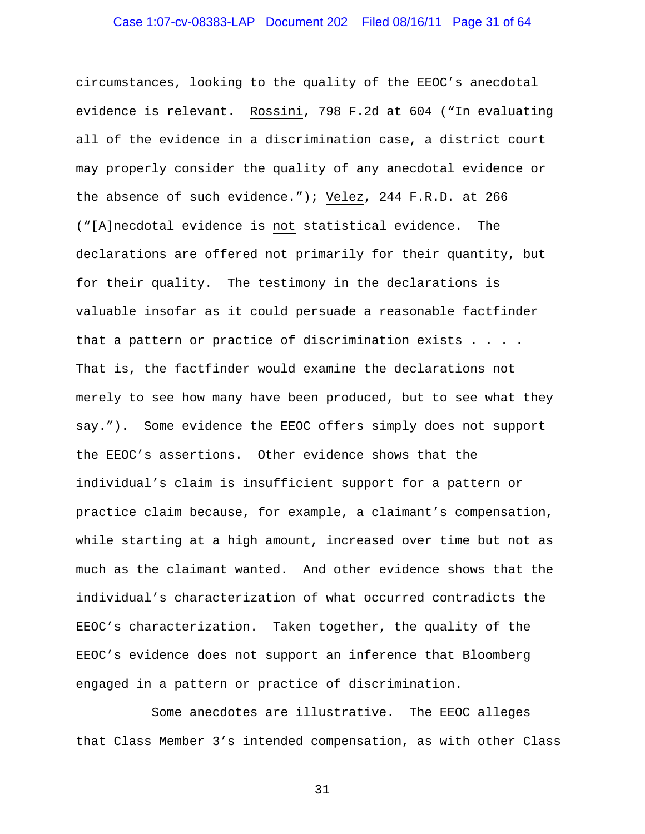circumstances, looking to the quality of the EEOC's anecdotal evidence is relevant. Rossini, 798 F.2d at 604 ("In evaluating all of the evidence in a discrimination case, a district court may properly consider the quality of any anecdotal evidence or the absence of such evidence."); Velez, 244 F.R.D. at 266 ("[A]necdotal evidence is not statistical evidence. The declarations are offered not primarily for their quantity, but for their quality. The testimony in the declarations is valuable insofar as it could persuade a reasonable factfinder that a pattern or practice of discrimination exists . . . . That is, the factfinder would examine the declarations not merely to see how many have been produced, but to see what they say."). Some evidence the EEOC offers simply does not support the EEOC's assertions. Other evidence shows that the individual's claim is insufficient support for a pattern or practice claim because, for example, a claimant's compensation, while starting at a high amount, increased over time but not as much as the claimant wanted. And other evidence shows that the individual's characterization of what occurred contradicts the EEOC's characterization. Taken together, the quality of the EEOC's evidence does not support an inference that Bloomberg engaged in a pattern or practice of discrimination.

 Some anecdotes are illustrative. The EEOC alleges that Class Member 3's intended compensation, as with other Class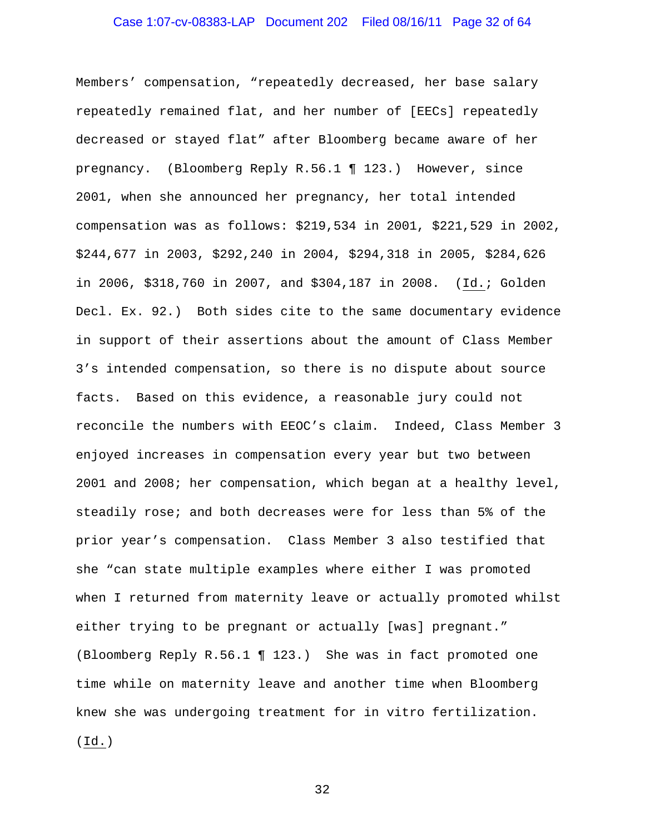Members' compensation, "repeatedly decreased, her base salary repeatedly remained flat, and her number of [EECs] repeatedly decreased or stayed flat" after Bloomberg became aware of her pregnancy. (Bloomberg Reply R.56.1 ¶ 123.) However, since 2001, when she announced her pregnancy, her total intended compensation was as follows: \$219,534 in 2001, \$221,529 in 2002, \$244,677 in 2003, \$292,240 in 2004, \$294,318 in 2005, \$284,626 in 2006, \$318,760 in 2007, and \$304,187 in 2008. (Id.; Golden Decl. Ex. 92.) Both sides cite to the same documentary evidence in support of their assertions about the amount of Class Member 3's intended compensation, so there is no dispute about source facts. Based on this evidence, a reasonable jury could not reconcile the numbers with EEOC's claim. Indeed, Class Member 3 enjoyed increases in compensation every year but two between 2001 and 2008; her compensation, which began at a healthy level, steadily rose; and both decreases were for less than 5% of the prior year's compensation. Class Member 3 also testified that she "can state multiple examples where either I was promoted when I returned from maternity leave or actually promoted whilst either trying to be pregnant or actually [was] pregnant." (Bloomberg Reply R.56.1 ¶ 123.) She was in fact promoted one time while on maternity leave and another time when Bloomberg knew she was undergoing treatment for in vitro fertilization. (Id.)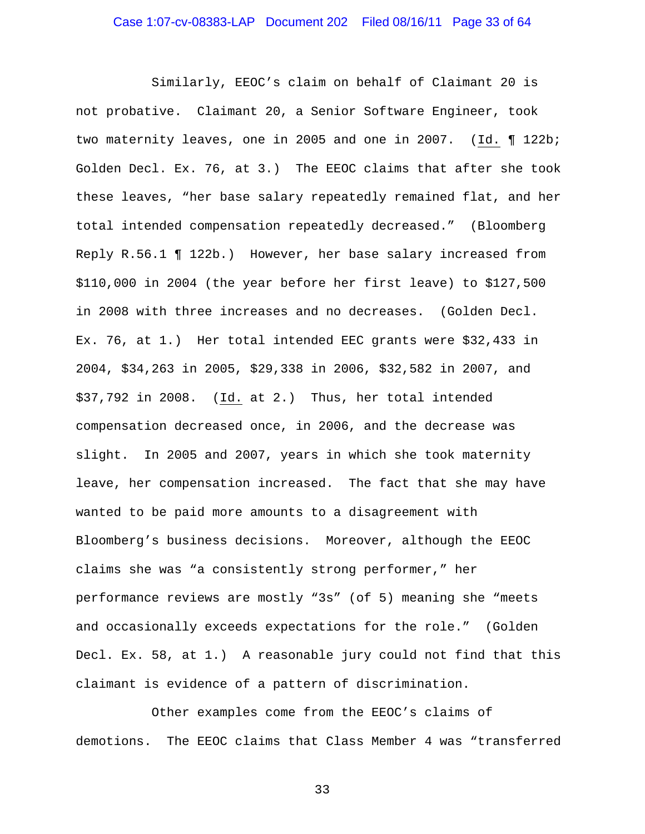Similarly, EEOC's claim on behalf of Claimant 20 is not probative. Claimant 20, a Senior Software Engineer, took two maternity leaves, one in 2005 and one in 2007. (Id. ¶ 122b; Golden Decl. Ex. 76, at 3.) The EEOC claims that after she took these leaves, "her base salary repeatedly remained flat, and her total intended compensation repeatedly decreased." (Bloomberg Reply R.56.1 ¶ 122b.) However, her base salary increased from \$110,000 in 2004 (the year before her first leave) to \$127,500 in 2008 with three increases and no decreases. (Golden Decl. Ex. 76, at 1.) Her total intended EEC grants were \$32,433 in 2004, \$34,263 in 2005, \$29,338 in 2006, \$32,582 in 2007, and \$37,792 in 2008. (Id. at 2.) Thus, her total intended compensation decreased once, in 2006, and the decrease was slight. In 2005 and 2007, years in which she took maternity leave, her compensation increased. The fact that she may have wanted to be paid more amounts to a disagreement with Bloomberg's business decisions. Moreover, although the EEOC claims she was "a consistently strong performer," her performance reviews are mostly "3s" (of 5) meaning she "meets and occasionally exceeds expectations for the role." (Golden Decl. Ex. 58, at 1.) A reasonable jury could not find that this claimant is evidence of a pattern of discrimination.

 Other examples come from the EEOC's claims of demotions. The EEOC claims that Class Member 4 was "transferred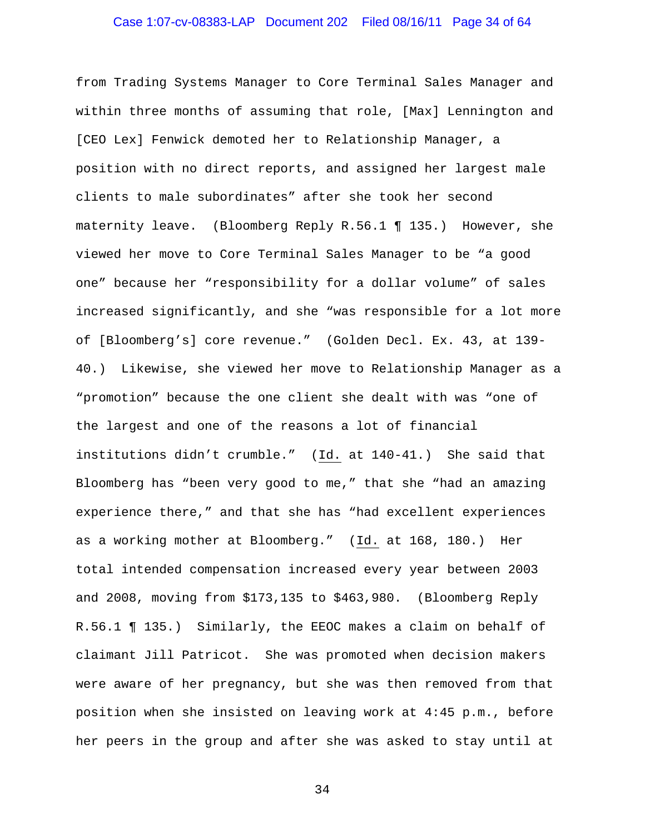# Case 1:07-cv-08383-LAP Document 202 Filed 08/16/11 Page 34 of 64

from Trading Systems Manager to Core Terminal Sales Manager and within three months of assuming that role, [Max] Lennington and [CEO Lex] Fenwick demoted her to Relationship Manager, a position with no direct reports, and assigned her largest male clients to male subordinates" after she took her second maternity leave. (Bloomberg Reply R.56.1 ¶ 135.) However, she viewed her move to Core Terminal Sales Manager to be "a good one" because her "responsibility for a dollar volume" of sales increased significantly, and she "was responsible for a lot more of [Bloomberg's] core revenue." (Golden Decl. Ex. 43, at 139- 40.) Likewise, she viewed her move to Relationship Manager as a "promotion" because the one client she dealt with was "one of the largest and one of the reasons a lot of financial institutions didn't crumble." (Id. at 140-41.) She said that Bloomberg has "been very good to me," that she "had an amazing experience there," and that she has "had excellent experiences as a working mother at Bloomberg." (Id. at 168, 180.) Her total intended compensation increased every year between 2003 and 2008, moving from \$173,135 to \$463,980. (Bloomberg Reply R.56.1 ¶ 135.) Similarly, the EEOC makes a claim on behalf of claimant Jill Patricot. She was promoted when decision makers were aware of her pregnancy, but she was then removed from that position when she insisted on leaving work at 4:45 p.m., before her peers in the group and after she was asked to stay until at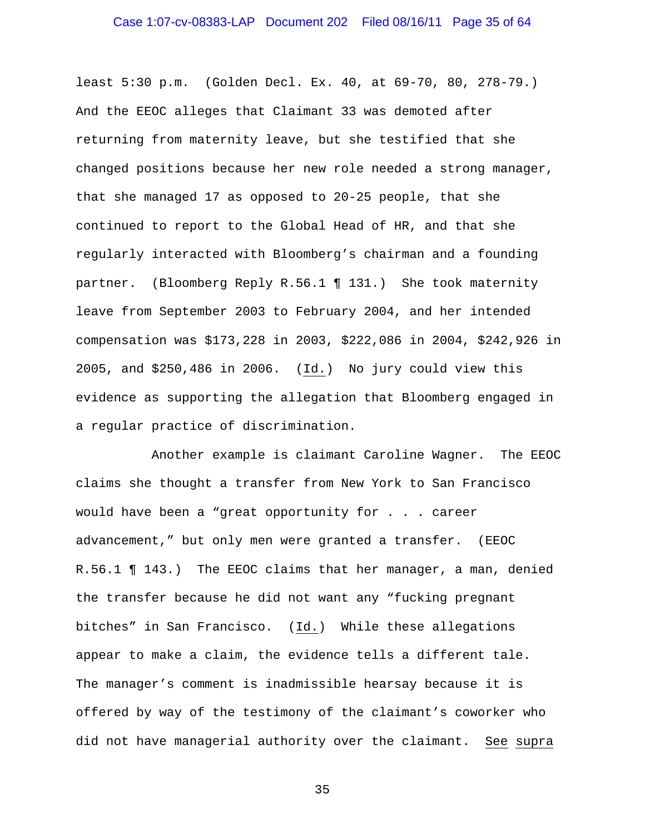least 5:30 p.m. (Golden Decl. Ex. 40, at 69-70, 80, 278-79.) And the EEOC alleges that Claimant 33 was demoted after returning from maternity leave, but she testified that she changed positions because her new role needed a strong manager, that she managed 17 as opposed to 20-25 people, that she continued to report to the Global Head of HR, and that she regularly interacted with Bloomberg's chairman and a founding partner. (Bloomberg Reply R.56.1 ¶ 131.) She took maternity leave from September 2003 to February 2004, and her intended compensation was \$173,228 in 2003, \$222,086 in 2004, \$242,926 in 2005, and \$250,486 in 2006. (Id.) No jury could view this evidence as supporting the allegation that Bloomberg engaged in a regular practice of discrimination.

 Another example is claimant Caroline Wagner. The EEOC claims she thought a transfer from New York to San Francisco would have been a "great opportunity for . . . career advancement," but only men were granted a transfer. (EEOC R.56.1 ¶ 143.) The EEOC claims that her manager, a man, denied the transfer because he did not want any "fucking pregnant bitches" in San Francisco. (Id.) While these allegations appear to make a claim, the evidence tells a different tale. The manager's comment is inadmissible hearsay because it is offered by way of the testimony of the claimant's coworker who did not have managerial authority over the claimant. See supra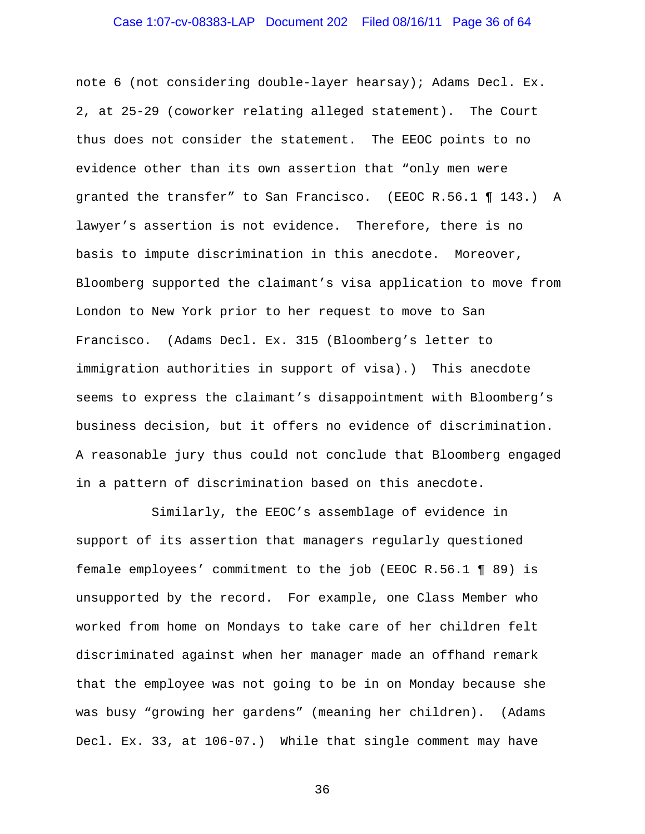# Case 1:07-cv-08383-LAP Document 202 Filed 08/16/11 Page 36 of 64

note 6 (not considering double-layer hearsay); Adams Decl. Ex. 2, at 25-29 (coworker relating alleged statement). The Court thus does not consider the statement. The EEOC points to no evidence other than its own assertion that "only men were granted the transfer" to San Francisco. (EEOC R.56.1 ¶ 143.) A lawyer's assertion is not evidence. Therefore, there is no basis to impute discrimination in this anecdote. Moreover, Bloomberg supported the claimant's visa application to move from London to New York prior to her request to move to San Francisco. (Adams Decl. Ex. 315 (Bloomberg's letter to immigration authorities in support of visa).) This anecdote seems to express the claimant's disappointment with Bloomberg's business decision, but it offers no evidence of discrimination. A reasonable jury thus could not conclude that Bloomberg engaged in a pattern of discrimination based on this anecdote.

 Similarly, the EEOC's assemblage of evidence in support of its assertion that managers regularly questioned female employees' commitment to the job (EEOC R.56.1 ¶ 89) is unsupported by the record. For example, one Class Member who worked from home on Mondays to take care of her children felt discriminated against when her manager made an offhand remark that the employee was not going to be in on Monday because she was busy "growing her gardens" (meaning her children). (Adams Decl. Ex. 33, at 106-07.) While that single comment may have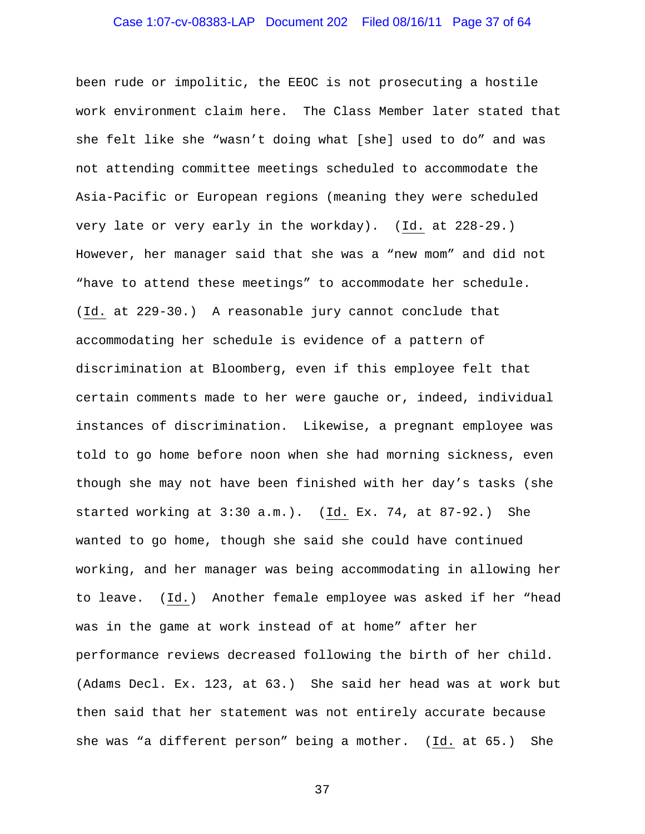# Case 1:07-cv-08383-LAP Document 202 Filed 08/16/11 Page 37 of 64

been rude or impolitic, the EEOC is not prosecuting a hostile work environment claim here. The Class Member later stated that she felt like she "wasn't doing what [she] used to do" and was not attending committee meetings scheduled to accommodate the Asia-Pacific or European regions (meaning they were scheduled very late or very early in the workday). (Id. at 228-29.) However, her manager said that she was a "new mom" and did not "have to attend these meetings" to accommodate her schedule. (Id. at 229-30.) A reasonable jury cannot conclude that accommodating her schedule is evidence of a pattern of discrimination at Bloomberg, even if this employee felt that certain comments made to her were gauche or, indeed, individual instances of discrimination. Likewise, a pregnant employee was told to go home before noon when she had morning sickness, even though she may not have been finished with her day's tasks (she started working at 3:30 a.m.). (Id. Ex. 74, at 87-92.) She wanted to go home, though she said she could have continued working, and her manager was being accommodating in allowing her to leave. (Id.) Another female employee was asked if her "head was in the game at work instead of at home" after her performance reviews decreased following the birth of her child. (Adams Decl. Ex. 123, at 63.) She said her head was at work but then said that her statement was not entirely accurate because she was "a different person" being a mother. (Id. at 65.) She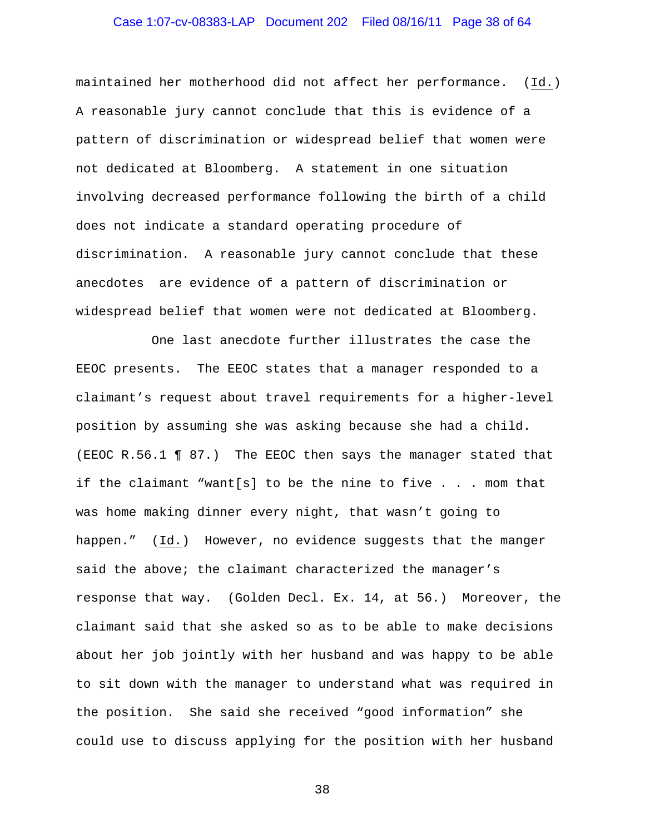# Case 1:07-cv-08383-LAP Document 202 Filed 08/16/11 Page 38 of 64

maintained her motherhood did not affect her performance. (Id.) A reasonable jury cannot conclude that this is evidence of a pattern of discrimination or widespread belief that women were not dedicated at Bloomberg. A statement in one situation involving decreased performance following the birth of a child does not indicate a standard operating procedure of discrimination. A reasonable jury cannot conclude that these anecdotes are evidence of a pattern of discrimination or widespread belief that women were not dedicated at Bloomberg.

 One last anecdote further illustrates the case the EEOC presents. The EEOC states that a manager responded to a claimant's request about travel requirements for a higher-level position by assuming she was asking because she had a child. (EEOC R.56.1 ¶ 87.) The EEOC then says the manager stated that if the claimant "want[s] to be the nine to five . . . mom that was home making dinner every night, that wasn't going to happen." (Id.) However, no evidence suggests that the manger said the above; the claimant characterized the manager's response that way. (Golden Decl. Ex. 14, at 56.) Moreover, the claimant said that she asked so as to be able to make decisions about her job jointly with her husband and was happy to be able to sit down with the manager to understand what was required in the position. She said she received "good information" she could use to discuss applying for the position with her husband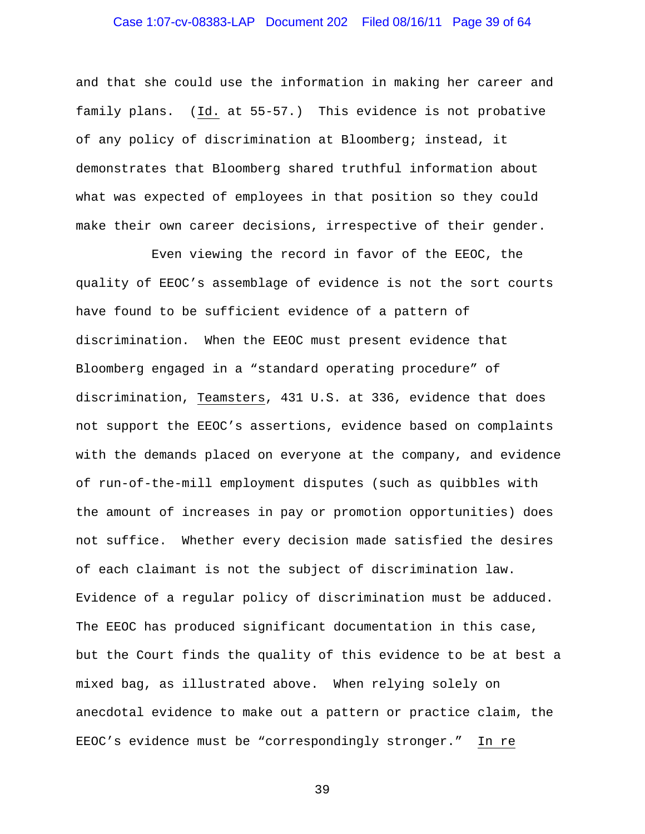# Case 1:07-cv-08383-LAP Document 202 Filed 08/16/11 Page 39 of 64

and that she could use the information in making her career and family plans. (Id. at 55-57.) This evidence is not probative of any policy of discrimination at Bloomberg; instead, it demonstrates that Bloomberg shared truthful information about what was expected of employees in that position so they could make their own career decisions, irrespective of their gender.

 Even viewing the record in favor of the EEOC, the quality of EEOC's assemblage of evidence is not the sort courts have found to be sufficient evidence of a pattern of discrimination. When the EEOC must present evidence that Bloomberg engaged in a "standard operating procedure" of discrimination, Teamsters, 431 U.S. at 336, evidence that does not support the EEOC's assertions, evidence based on complaints with the demands placed on everyone at the company, and evidence of run-of-the-mill employment disputes (such as quibbles with the amount of increases in pay or promotion opportunities) does not suffice. Whether every decision made satisfied the desires of each claimant is not the subject of discrimination law. Evidence of a regular policy of discrimination must be adduced. The EEOC has produced significant documentation in this case, but the Court finds the quality of this evidence to be at best a mixed bag, as illustrated above. When relying solely on anecdotal evidence to make out a pattern or practice claim, the EEOC's evidence must be "correspondingly stronger." In re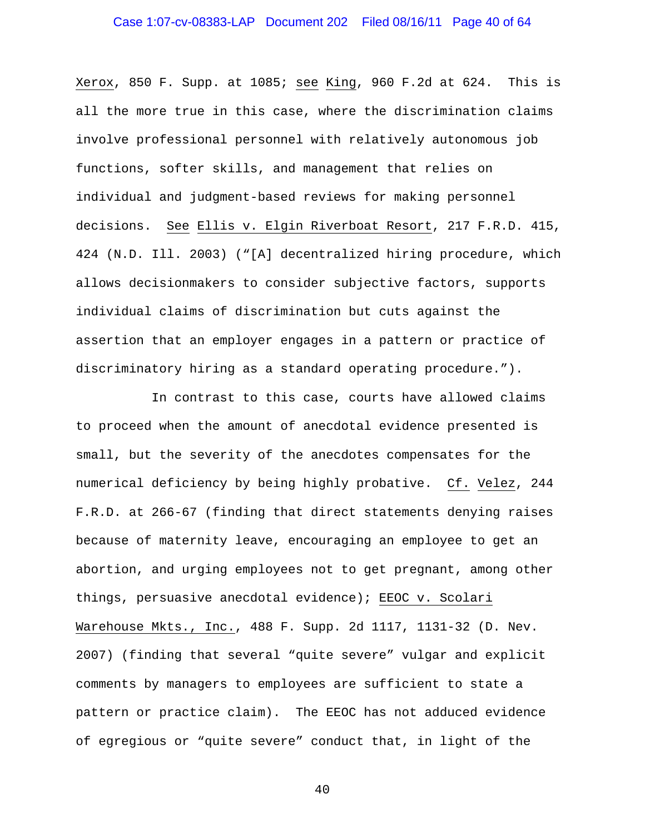# Case 1:07-cv-08383-LAP Document 202 Filed 08/16/11 Page 40 of 64

Xerox, 850 F. Supp. at 1085; see King, 960 F.2d at 624. This is all the more true in this case, where the discrimination claims involve professional personnel with relatively autonomous job functions, softer skills, and management that relies on individual and judgment-based reviews for making personnel decisions. See Ellis v. Elgin Riverboat Resort, 217 F.R.D. 415, 424 (N.D. Ill. 2003) ("[A] decentralized hiring procedure, which allows decisionmakers to consider subjective factors, supports individual claims of discrimination but cuts against the assertion that an employer engages in a pattern or practice of discriminatory hiring as a standard operating procedure.").

 In contrast to this case, courts have allowed claims to proceed when the amount of anecdotal evidence presented is small, but the severity of the anecdotes compensates for the numerical deficiency by being highly probative. Cf. Velez, 244 F.R.D. at 266-67 (finding that direct statements denying raises because of maternity leave, encouraging an employee to get an abortion, and urging employees not to get pregnant, among other things, persuasive anecdotal evidence); EEOC v. Scolari Warehouse Mkts., Inc., 488 F. Supp. 2d 1117, 1131-32 (D. Nev. 2007) (finding that several "quite severe" vulgar and explicit comments by managers to employees are sufficient to state a pattern or practice claim). The EEOC has not adduced evidence of egregious or "quite severe" conduct that, in light of the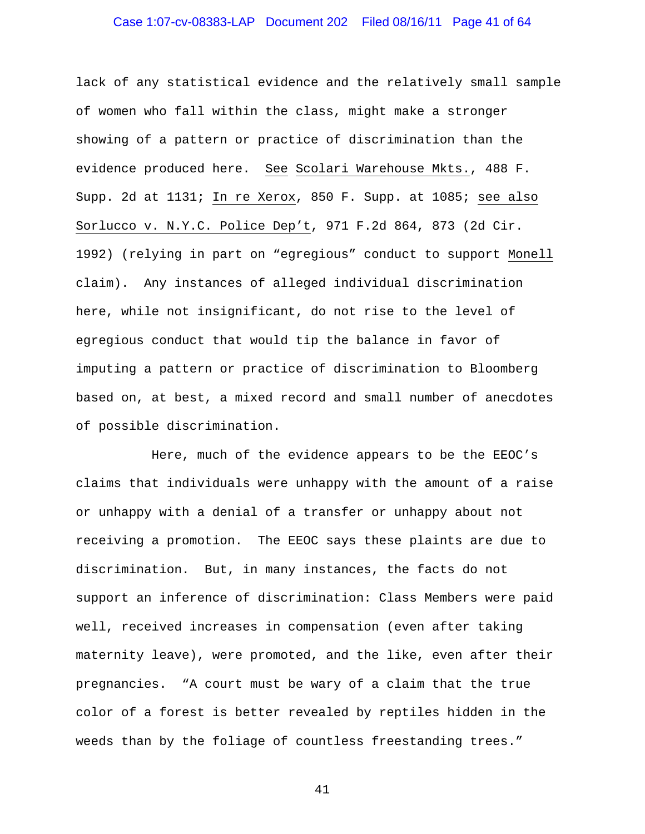# Case 1:07-cv-08383-LAP Document 202 Filed 08/16/11 Page 41 of 64

lack of any statistical evidence and the relatively small sample of women who fall within the class, might make a stronger showing of a pattern or practice of discrimination than the evidence produced here. See Scolari Warehouse Mkts., 488 F. Supp. 2d at 1131; In re Xerox, 850 F. Supp. at 1085; see also Sorlucco v. N.Y.C. Police Dep't, 971 F.2d 864, 873 (2d Cir. 1992) (relying in part on "egregious" conduct to support Monell claim). Any instances of alleged individual discrimination here, while not insignificant, do not rise to the level of egregious conduct that would tip the balance in favor of imputing a pattern or practice of discrimination to Bloomberg based on, at best, a mixed record and small number of anecdotes of possible discrimination.

 Here, much of the evidence appears to be the EEOC's claims that individuals were unhappy with the amount of a raise or unhappy with a denial of a transfer or unhappy about not receiving a promotion. The EEOC says these plaints are due to discrimination. But, in many instances, the facts do not support an inference of discrimination: Class Members were paid well, received increases in compensation (even after taking maternity leave), were promoted, and the like, even after their pregnancies. "A court must be wary of a claim that the true color of a forest is better revealed by reptiles hidden in the weeds than by the foliage of countless freestanding trees."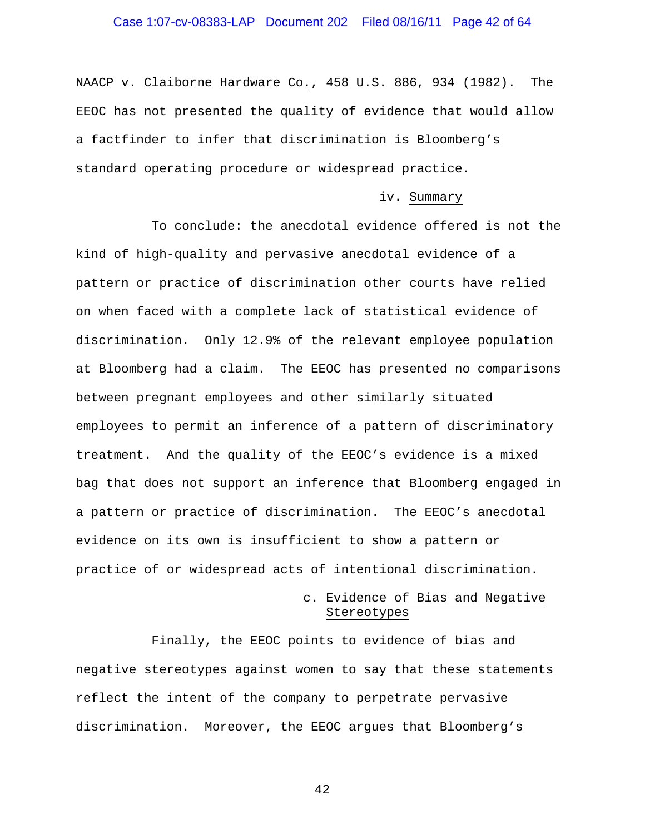NAACP v. Claiborne Hardware Co., 458 U.S. 886, 934 (1982). The EEOC has not presented the quality of evidence that would allow a factfinder to infer that discrimination is Bloomberg's standard operating procedure or widespread practice.

#### iv. Summary

 To conclude: the anecdotal evidence offered is not the kind of high-quality and pervasive anecdotal evidence of a pattern or practice of discrimination other courts have relied on when faced with a complete lack of statistical evidence of discrimination. Only 12.9% of the relevant employee population at Bloomberg had a claim. The EEOC has presented no comparisons between pregnant employees and other similarly situated employees to permit an inference of a pattern of discriminatory treatment. And the quality of the EEOC's evidence is a mixed bag that does not support an inference that Bloomberg engaged in a pattern or practice of discrimination. The EEOC's anecdotal evidence on its own is insufficient to show a pattern or practice of or widespread acts of intentional discrimination.

# c. Evidence of Bias and Negative Stereotypes

 Finally, the EEOC points to evidence of bias and negative stereotypes against women to say that these statements reflect the intent of the company to perpetrate pervasive discrimination. Moreover, the EEOC argues that Bloomberg's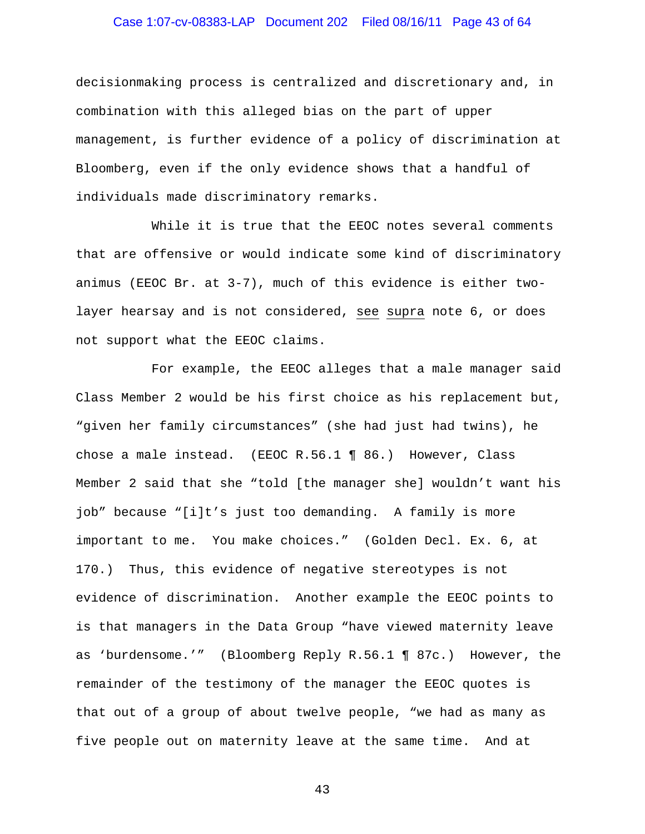# Case 1:07-cv-08383-LAP Document 202 Filed 08/16/11 Page 43 of 64

decisionmaking process is centralized and discretionary and, in combination with this alleged bias on the part of upper management, is further evidence of a policy of discrimination at Bloomberg, even if the only evidence shows that a handful of individuals made discriminatory remarks.

 While it is true that the EEOC notes several comments that are offensive or would indicate some kind of discriminatory animus (EEOC Br. at 3-7), much of this evidence is either twolayer hearsay and is not considered, see supra note 6, or does not support what the EEOC claims.

 For example, the EEOC alleges that a male manager said Class Member 2 would be his first choice as his replacement but, "given her family circumstances" (she had just had twins), he chose a male instead. (EEOC R.56.1 ¶ 86.) However, Class Member 2 said that she "told [the manager she] wouldn't want his job" because "[i]t's just too demanding. A family is more important to me. You make choices." (Golden Decl. Ex. 6, at 170.) Thus, this evidence of negative stereotypes is not evidence of discrimination. Another example the EEOC points to is that managers in the Data Group "have viewed maternity leave as 'burdensome.'" (Bloomberg Reply R.56.1 ¶ 87c.) However, the remainder of the testimony of the manager the EEOC quotes is that out of a group of about twelve people, "we had as many as five people out on maternity leave at the same time. And at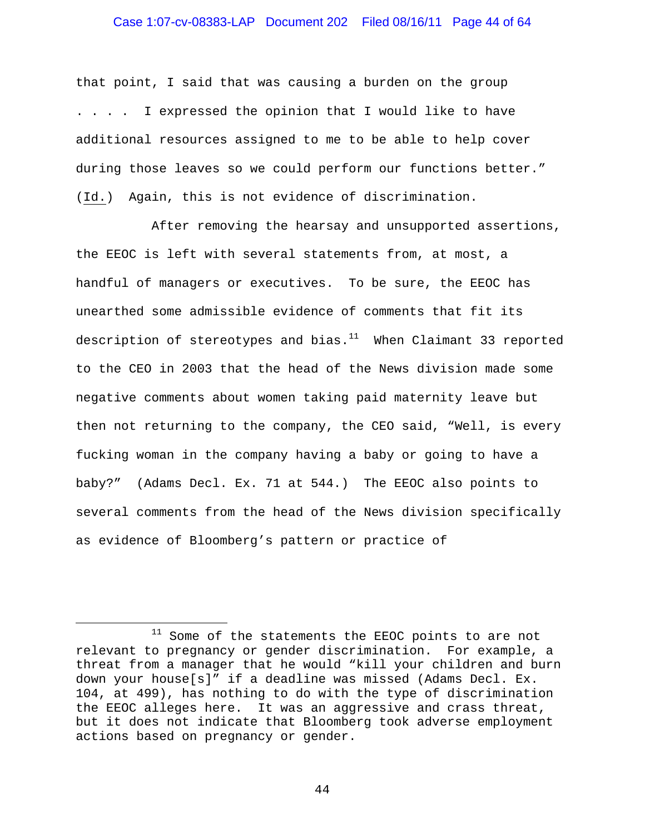#### Case 1:07-cv-08383-LAP Document 202 Filed 08/16/11 Page 44 of 64

that point, I said that was causing a burden on the group . . . . I expressed the opinion that I would like to have additional resources assigned to me to be able to help cover during those leaves so we could perform our functions better." (Id.) Again, this is not evidence of discrimination.

 After removing the hearsay and unsupported assertions, the EEOC is left with several statements from, at most, a handful of managers or executives. To be sure, the EEOC has unearthed some admissible evidence of comments that fit its description of stereotypes and bias. $11$  When Claimant 33 reported to the CEO in 2003 that the head of the News division made some negative comments about women taking paid maternity leave but then not returning to the company, the CEO said, "Well, is every fucking woman in the company having a baby or going to have a baby?" (Adams Decl. Ex. 71 at 544.) The EEOC also points to several comments from the head of the News division specifically as evidence of Bloomberg's pattern or practice of

i<br>Li

<sup>&</sup>lt;sup>11</sup> Some of the statements the EEOC points to are not relevant to pregnancy or gender discrimination. For example, a threat from a manager that he would "kill your children and burn down your house[s]" if a deadline was missed (Adams Decl. Ex. 104, at 499), has nothing to do with the type of discrimination the EEOC alleges here. It was an aggressive and crass threat, but it does not indicate that Bloomberg took adverse employment actions based on pregnancy or gender.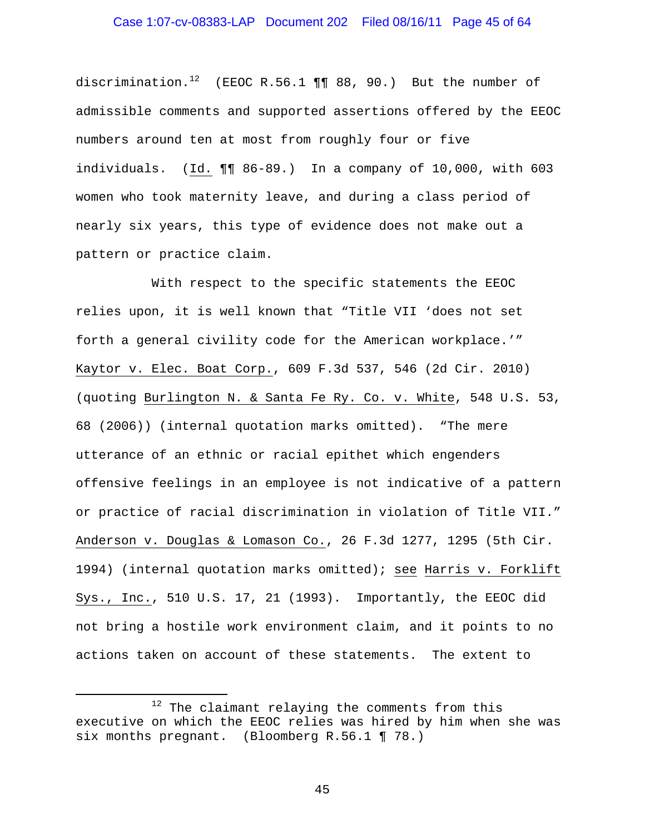discrimination.<sup>12</sup> (EEOC R.56.1  $\P\P$  88, 90.) But the number of admissible comments and supported assertions offered by the EEOC numbers around ten at most from roughly four or five individuals. (Id. ¶¶ 86-89.) In a company of 10,000, with 603 women who took maternity leave, and during a class period of nearly six years, this type of evidence does not make out a pattern or practice claim.

 With respect to the specific statements the EEOC relies upon, it is well known that "Title VII 'does not set forth a general civility code for the American workplace.'" Kaytor v. Elec. Boat Corp., 609 F.3d 537, 546 (2d Cir. 2010) (quoting Burlington N. & Santa Fe Ry. Co. v. White, 548 U.S. 53, 68 (2006)) (internal quotation marks omitted). "The mere utterance of an ethnic or racial epithet which engenders offensive feelings in an employee is not indicative of a pattern or practice of racial discrimination in violation of Title VII." Anderson v. Douglas & Lomason Co., 26 F.3d 1277, 1295 (5th Cir. 1994) (internal quotation marks omitted); see Harris v. Forklift Sys., Inc., 510 U.S. 17, 21 (1993). Importantly, the EEOC did not bring a hostile work environment claim, and it points to no actions taken on account of these statements. The extent to

i

<sup>&</sup>lt;sup>12</sup> The claimant relaying the comments from this executive on which the EEOC relies was hired by him when she was six months pregnant. (Bloomberg R.56.1 ¶ 78.)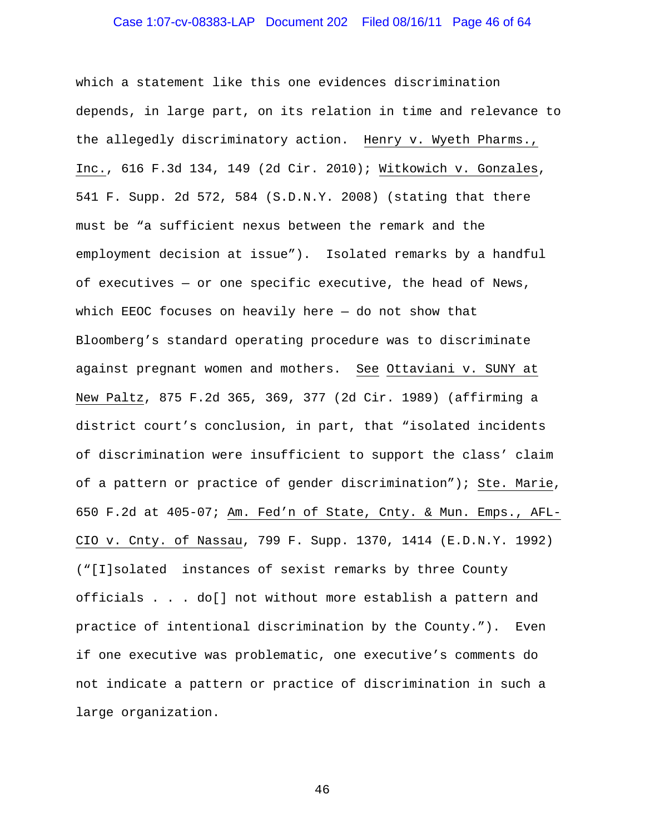# Case 1:07-cv-08383-LAP Document 202 Filed 08/16/11 Page 46 of 64

which a statement like this one evidences discrimination depends, in large part, on its relation in time and relevance to the allegedly discriminatory action. Henry v. Wyeth Pharms., Inc., 616 F.3d 134, 149 (2d Cir. 2010); Witkowich v. Gonzales, 541 F. Supp. 2d 572, 584 (S.D.N.Y. 2008) (stating that there must be "a sufficient nexus between the remark and the employment decision at issue"). Isolated remarks by a handful of executives — or one specific executive, the head of News, which EEOC focuses on heavily here  $-$  do not show that Bloomberg's standard operating procedure was to discriminate against pregnant women and mothers. See Ottaviani v. SUNY at New Paltz, 875 F.2d 365, 369, 377 (2d Cir. 1989) (affirming a district court's conclusion, in part, that "isolated incidents of discrimination were insufficient to support the class' claim of a pattern or practice of gender discrimination"); Ste. Marie, 650 F.2d at 405-07; Am. Fed'n of State, Cnty. & Mun. Emps., AFL-CIO v. Cnty. of Nassau, 799 F. Supp. 1370, 1414 (E.D.N.Y. 1992) ("[I]solated instances of sexist remarks by three County officials . . . do[] not without more establish a pattern and practice of intentional discrimination by the County."). Even if one executive was problematic, one executive's comments do not indicate a pattern or practice of discrimination in such a large organization.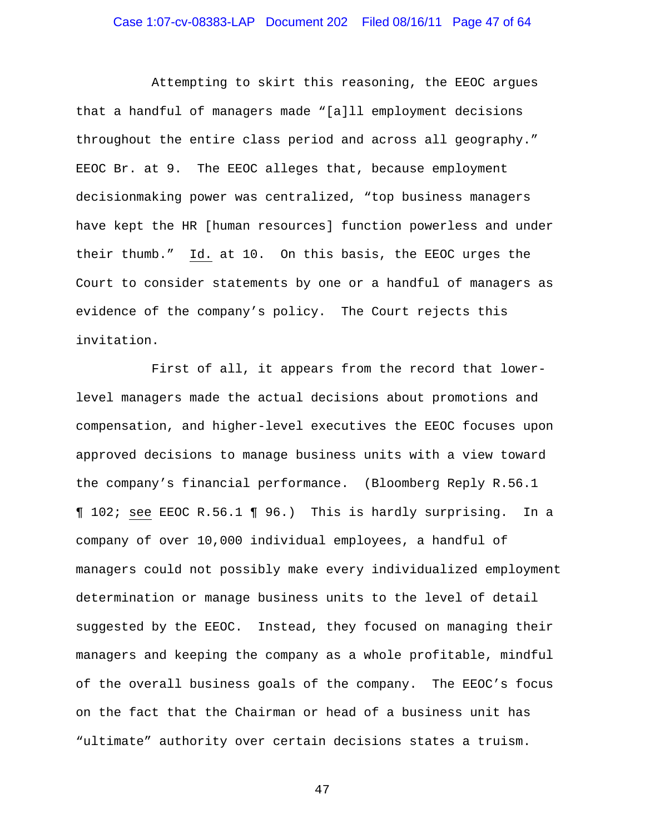Attempting to skirt this reasoning, the EEOC argues that a handful of managers made "[a]ll employment decisions throughout the entire class period and across all geography." EEOC Br. at 9. The EEOC alleges that, because employment decisionmaking power was centralized, "top business managers have kept the HR [human resources] function powerless and under their thumb." Id. at 10. On this basis, the EEOC urges the Court to consider statements by one or a handful of managers as evidence of the company's policy. The Court rejects this invitation.

 First of all, it appears from the record that lowerlevel managers made the actual decisions about promotions and compensation, and higher-level executives the EEOC focuses upon approved decisions to manage business units with a view toward the company's financial performance. (Bloomberg Reply R.56.1 ¶ 102; see EEOC R.56.1 ¶ 96.) This is hardly surprising. In a company of over 10,000 individual employees, a handful of managers could not possibly make every individualized employment determination or manage business units to the level of detail suggested by the EEOC. Instead, they focused on managing their managers and keeping the company as a whole profitable, mindful of the overall business goals of the company. The EEOC's focus on the fact that the Chairman or head of a business unit has "ultimate" authority over certain decisions states a truism.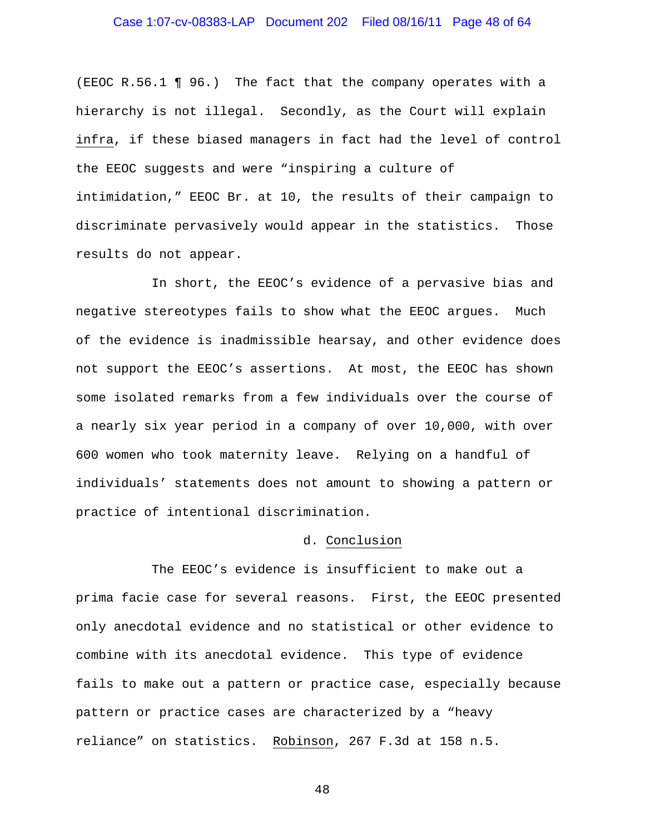# Case 1:07-cv-08383-LAP Document 202 Filed 08/16/11 Page 48 of 64

(EEOC R.56.1 ¶ 96.) The fact that the company operates with a hierarchy is not illegal. Secondly, as the Court will explain infra, if these biased managers in fact had the level of control the EEOC suggests and were "inspiring a culture of intimidation," EEOC Br. at 10, the results of their campaign to discriminate pervasively would appear in the statistics. Those results do not appear.

 In short, the EEOC's evidence of a pervasive bias and negative stereotypes fails to show what the EEOC argues. Much of the evidence is inadmissible hearsay, and other evidence does not support the EEOC's assertions. At most, the EEOC has shown some isolated remarks from a few individuals over the course of a nearly six year period in a company of over 10,000, with over 600 women who took maternity leave. Relying on a handful of individuals' statements does not amount to showing a pattern or practice of intentional discrimination.

#### d. Conclusion

 The EEOC's evidence is insufficient to make out a prima facie case for several reasons. First, the EEOC presented only anecdotal evidence and no statistical or other evidence to combine with its anecdotal evidence. This type of evidence fails to make out a pattern or practice case, especially because pattern or practice cases are characterized by a "heavy reliance" on statistics. Robinson, 267 F.3d at 158 n.5.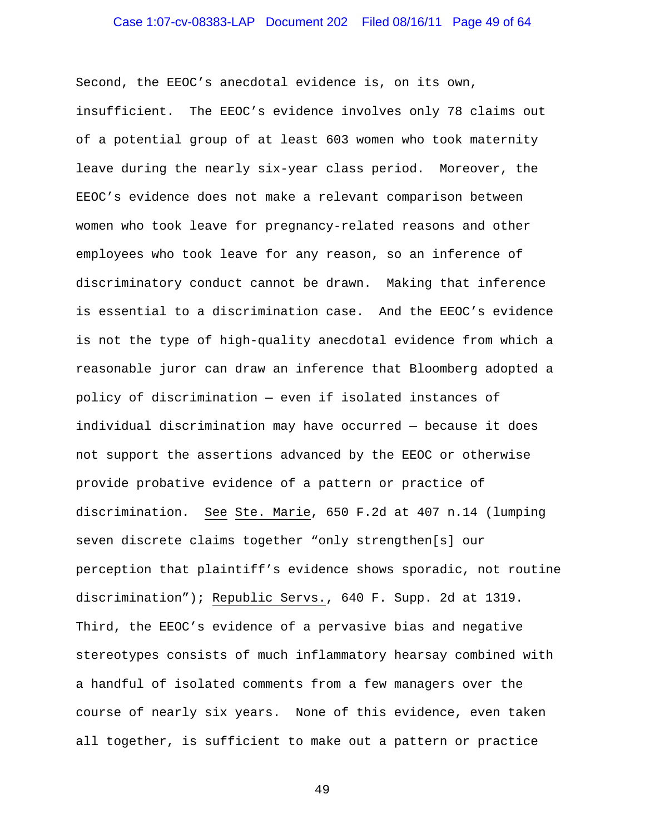# Case 1:07-cv-08383-LAP Document 202 Filed 08/16/11 Page 49 of 64

Second, the EEOC's anecdotal evidence is, on its own, insufficient. The EEOC's evidence involves only 78 claims out of a potential group of at least 603 women who took maternity leave during the nearly six-year class period. Moreover, the EEOC's evidence does not make a relevant comparison between women who took leave for pregnancy-related reasons and other employees who took leave for any reason, so an inference of discriminatory conduct cannot be drawn. Making that inference is essential to a discrimination case. And the EEOC's evidence is not the type of high-quality anecdotal evidence from which a reasonable juror can draw an inference that Bloomberg adopted a policy of discrimination — even if isolated instances of individual discrimination may have occurred — because it does not support the assertions advanced by the EEOC or otherwise provide probative evidence of a pattern or practice of discrimination. See Ste. Marie, 650 F.2d at 407 n.14 (lumping seven discrete claims together "only strengthen[s] our perception that plaintiff's evidence shows sporadic, not routine discrimination"); Republic Servs., 640 F. Supp. 2d at 1319. Third, the EEOC's evidence of a pervasive bias and negative stereotypes consists of much inflammatory hearsay combined with a handful of isolated comments from a few managers over the course of nearly six years. None of this evidence, even taken all together, is sufficient to make out a pattern or practice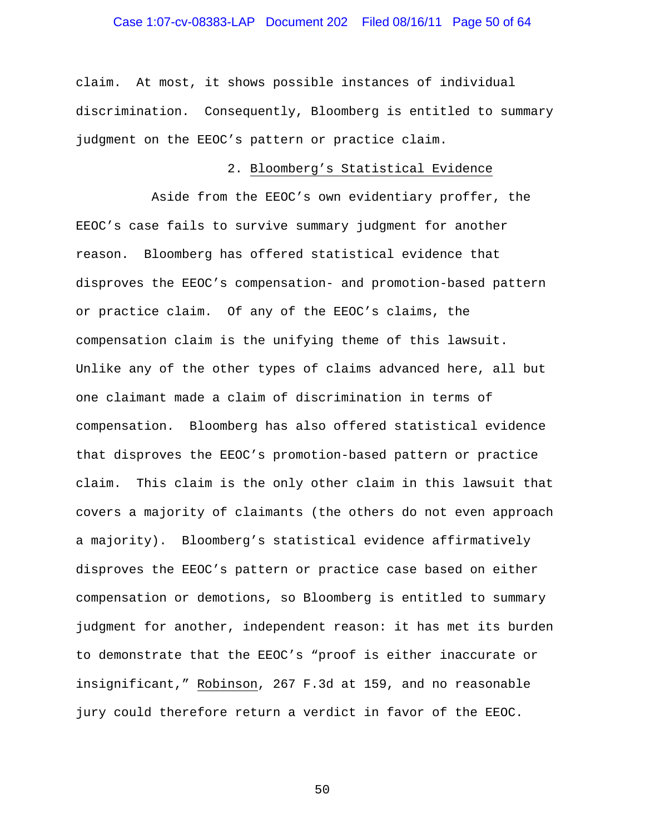# Case 1:07-cv-08383-LAP Document 202 Filed 08/16/11 Page 50 of 64

claim. At most, it shows possible instances of individual discrimination. Consequently, Bloomberg is entitled to summary judgment on the EEOC's pattern or practice claim.

#### 2. Bloomberg's Statistical Evidence

 Aside from the EEOC's own evidentiary proffer, the EEOC's case fails to survive summary judgment for another reason. Bloomberg has offered statistical evidence that disproves the EEOC's compensation- and promotion-based pattern or practice claim. Of any of the EEOC's claims, the compensation claim is the unifying theme of this lawsuit. Unlike any of the other types of claims advanced here, all but one claimant made a claim of discrimination in terms of compensation. Bloomberg has also offered statistical evidence that disproves the EEOC's promotion-based pattern or practice claim. This claim is the only other claim in this lawsuit that covers a majority of claimants (the others do not even approach a majority). Bloomberg's statistical evidence affirmatively disproves the EEOC's pattern or practice case based on either compensation or demotions, so Bloomberg is entitled to summary judgment for another, independent reason: it has met its burden to demonstrate that the EEOC's "proof is either inaccurate or insignificant," Robinson, 267 F.3d at 159, and no reasonable jury could therefore return a verdict in favor of the EEOC.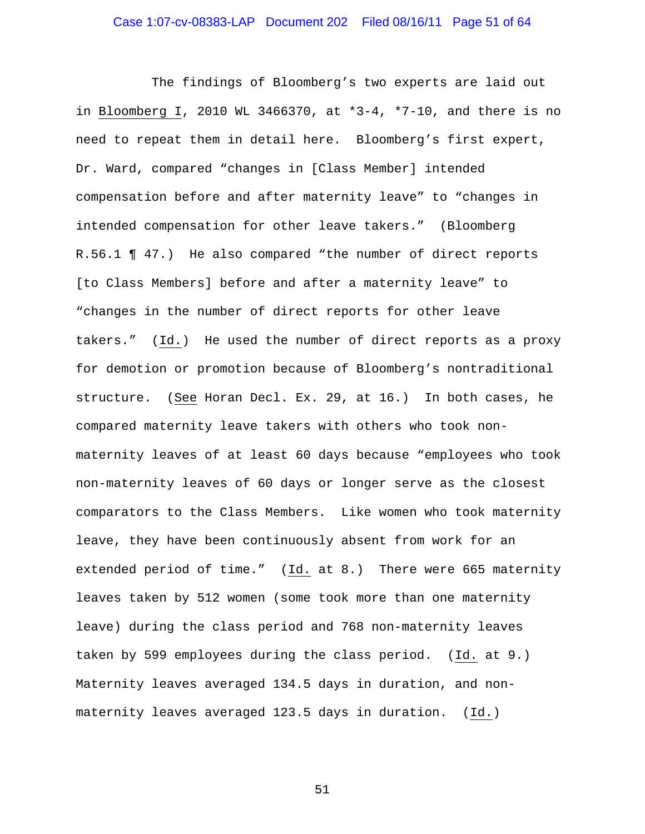The findings of Bloomberg's two experts are laid out in Bloomberg I, 2010 WL 3466370, at \*3-4, \*7-10, and there is no need to repeat them in detail here. Bloomberg's first expert, Dr. Ward, compared "changes in [Class Member] intended compensation before and after maternity leave" to "changes in intended compensation for other leave takers." (Bloomberg R.56.1 ¶ 47.) He also compared "the number of direct reports [to Class Members] before and after a maternity leave" to "changes in the number of direct reports for other leave takers." (Id.) He used the number of direct reports as a proxy for demotion or promotion because of Bloomberg's nontraditional structure. (See Horan Decl. Ex. 29, at 16.) In both cases, he compared maternity leave takers with others who took nonmaternity leaves of at least 60 days because "employees who took non-maternity leaves of 60 days or longer serve as the closest comparators to the Class Members. Like women who took maternity leave, they have been continuously absent from work for an extended period of time." (Id. at 8.) There were 665 maternity leaves taken by 512 women (some took more than one maternity leave) during the class period and 768 non-maternity leaves taken by 599 employees during the class period. (Id. at 9.) Maternity leaves averaged 134.5 days in duration, and nonmaternity leaves averaged 123.5 days in duration. (Id.)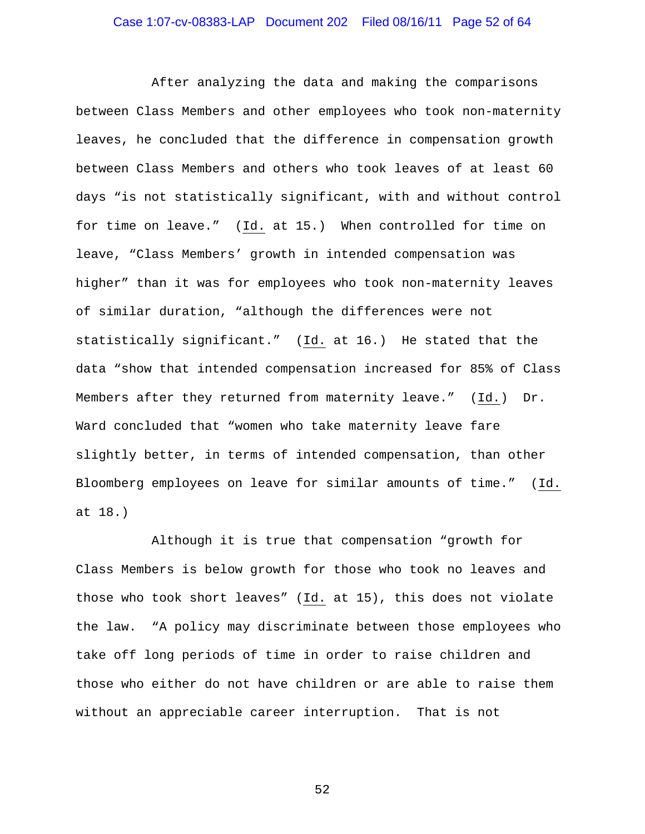After analyzing the data and making the comparisons between Class Members and other employees who took non-maternity leaves, he concluded that the difference in compensation growth between Class Members and others who took leaves of at least 60 days "is not statistically significant, with and without control for time on leave." (Id. at 15.) When controlled for time on leave, "Class Members' growth in intended compensation was higher" than it was for employees who took non-maternity leaves of similar duration, "although the differences were not statistically significant." (Id. at 16.) He stated that the data "show that intended compensation increased for 85% of Class Members after they returned from maternity leave." (Id.) Dr. Ward concluded that "women who take maternity leave fare slightly better, in terms of intended compensation, than other Bloomberg employees on leave for similar amounts of time." (Id. at 18.)

 Although it is true that compensation "growth for Class Members is below growth for those who took no leaves and those who took short leaves" (Id. at 15), this does not violate the law. "A policy may discriminate between those employees who take off long periods of time in order to raise children and those who either do not have children or are able to raise them without an appreciable career interruption. That is not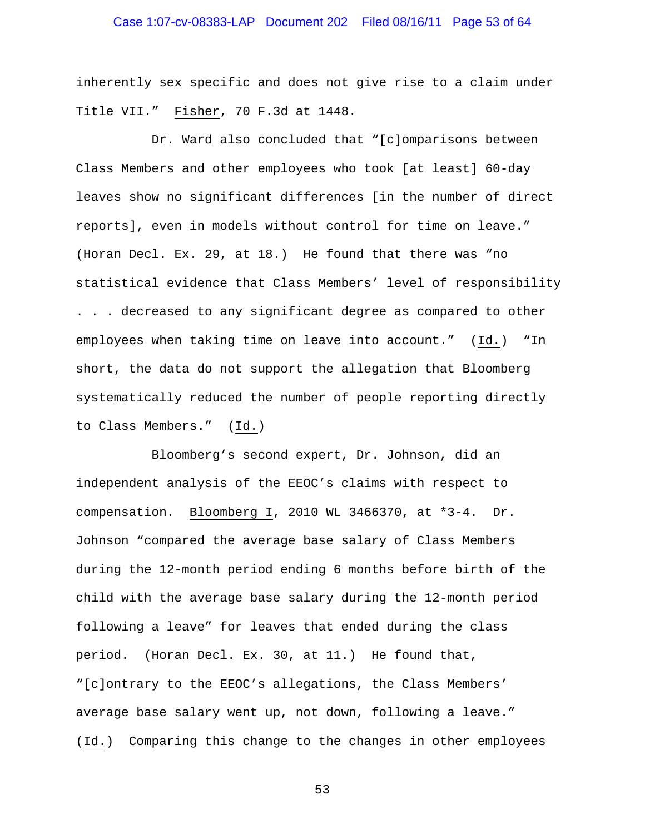# Case 1:07-cv-08383-LAP Document 202 Filed 08/16/11 Page 53 of 64

inherently sex specific and does not give rise to a claim under Title VII." Fisher, 70 F.3d at 1448.

 Dr. Ward also concluded that "[c]omparisons between Class Members and other employees who took [at least] 60-day leaves show no significant differences [in the number of direct reports], even in models without control for time on leave." (Horan Decl. Ex. 29, at 18.) He found that there was "no statistical evidence that Class Members' level of responsibility . . . decreased to any significant degree as compared to other employees when taking time on leave into account." (Id.) "In short, the data do not support the allegation that Bloomberg systematically reduced the number of people reporting directly to Class Members." (Id.)

 Bloomberg's second expert, Dr. Johnson, did an independent analysis of the EEOC's claims with respect to compensation. Bloomberg I, 2010 WL 3466370, at \*3-4. Dr. Johnson "compared the average base salary of Class Members during the 12-month period ending 6 months before birth of the child with the average base salary during the 12-month period following a leave" for leaves that ended during the class period. (Horan Decl. Ex. 30, at 11.) He found that, "[c]ontrary to the EEOC's allegations, the Class Members' average base salary went up, not down, following a leave." (Id.) Comparing this change to the changes in other employees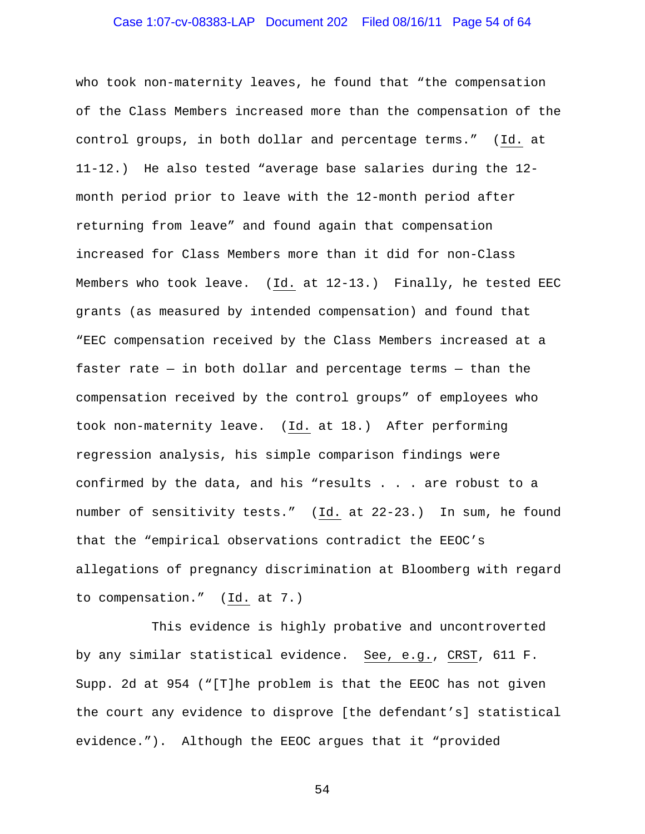# Case 1:07-cv-08383-LAP Document 202 Filed 08/16/11 Page 54 of 64

who took non-maternity leaves, he found that "the compensation of the Class Members increased more than the compensation of the control groups, in both dollar and percentage terms." (Id. at 11-12.) He also tested "average base salaries during the 12 month period prior to leave with the 12-month period after returning from leave" and found again that compensation increased for Class Members more than it did for non-Class Members who took leave. (Id. at 12-13.) Finally, he tested EEC grants (as measured by intended compensation) and found that "EEC compensation received by the Class Members increased at a faster rate  $-$  in both dollar and percentage terms  $-$  than the compensation received by the control groups" of employees who took non-maternity leave. (Id. at 18.) After performing regression analysis, his simple comparison findings were confirmed by the data, and his "results . . . are robust to a number of sensitivity tests." (Id. at 22-23.) In sum, he found that the "empirical observations contradict the EEOC's allegations of pregnancy discrimination at Bloomberg with regard to compensation." (Id. at 7.)

 This evidence is highly probative and uncontroverted by any similar statistical evidence. See, e.g., CRST, 611 F. Supp. 2d at 954 ("[T]he problem is that the EEOC has not given the court any evidence to disprove [the defendant's] statistical evidence."). Although the EEOC argues that it "provided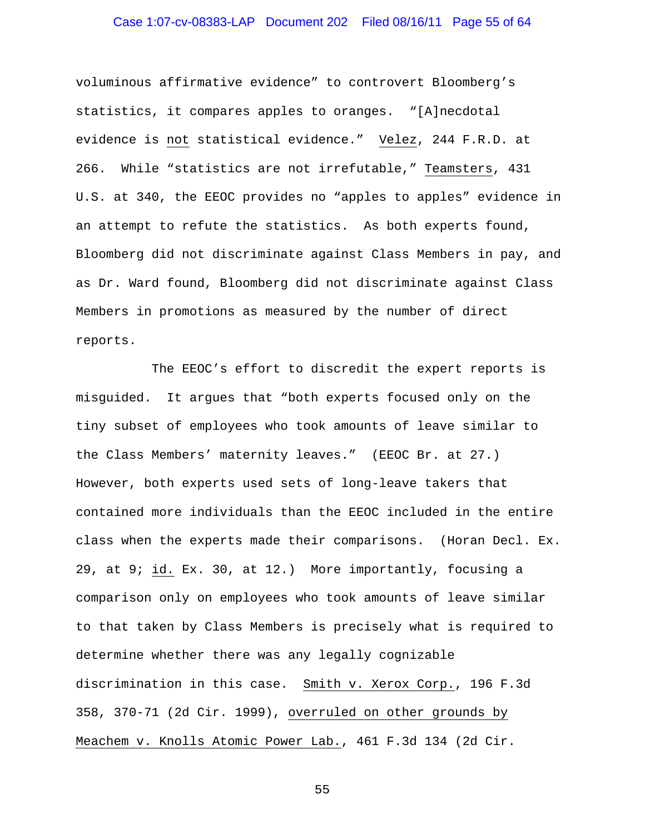# Case 1:07-cv-08383-LAP Document 202 Filed 08/16/11 Page 55 of 64

voluminous affirmative evidence" to controvert Bloomberg's statistics, it compares apples to oranges. "[A]necdotal evidence is not statistical evidence." Velez, 244 F.R.D. at 266. While "statistics are not irrefutable," Teamsters, 431 U.S. at 340, the EEOC provides no "apples to apples" evidence in an attempt to refute the statistics. As both experts found, Bloomberg did not discriminate against Class Members in pay, and as Dr. Ward found, Bloomberg did not discriminate against Class Members in promotions as measured by the number of direct reports.

 The EEOC's effort to discredit the expert reports is misguided. It argues that "both experts focused only on the tiny subset of employees who took amounts of leave similar to the Class Members' maternity leaves." (EEOC Br. at 27.) However, both experts used sets of long-leave takers that contained more individuals than the EEOC included in the entire class when the experts made their comparisons. (Horan Decl. Ex. 29, at 9; id. Ex. 30, at 12.) More importantly, focusing a comparison only on employees who took amounts of leave similar to that taken by Class Members is precisely what is required to determine whether there was any legally cognizable discrimination in this case. Smith v. Xerox Corp., 196 F.3d 358, 370-71 (2d Cir. 1999), overruled on other grounds by Meachem v. Knolls Atomic Power Lab., 461 F.3d 134 (2d Cir.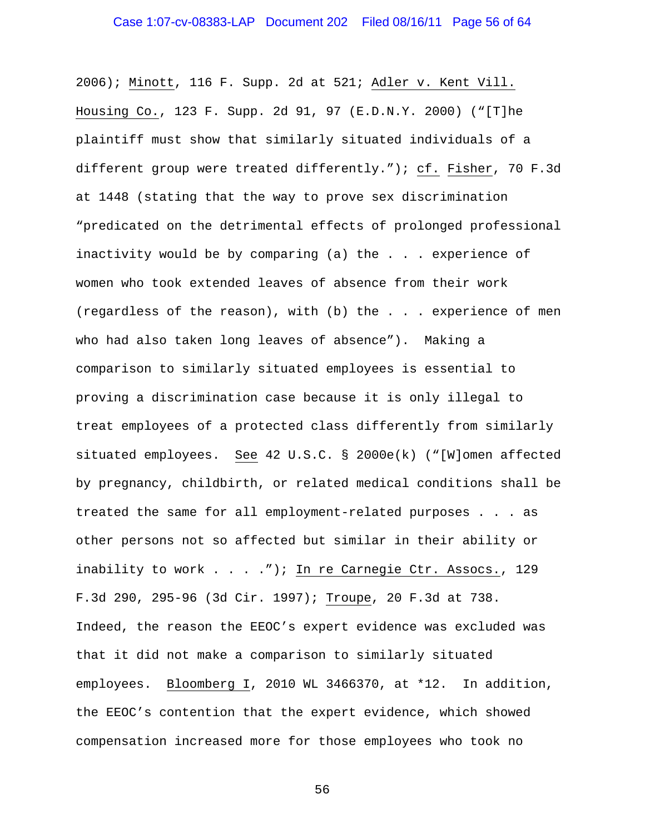2006); Minott, 116 F. Supp. 2d at 521; Adler v. Kent Vill. Housing Co., 123 F. Supp. 2d 91, 97 (E.D.N.Y. 2000) ("[T]he plaintiff must show that similarly situated individuals of a different group were treated differently."); cf. Fisher, 70 F.3d at 1448 (stating that the way to prove sex discrimination "predicated on the detrimental effects of prolonged professional inactivity would be by comparing (a) the . . . experience of women who took extended leaves of absence from their work (regardless of the reason), with (b) the . . . experience of men who had also taken long leaves of absence"). Making a comparison to similarly situated employees is essential to proving a discrimination case because it is only illegal to treat employees of a protected class differently from similarly situated employees. See 42 U.S.C. § 2000e(k) ("[W]omen affected by pregnancy, childbirth, or related medical conditions shall be treated the same for all employment-related purposes . . . as other persons not so affected but similar in their ability or inability to work . . . . "); In re Carnegie Ctr. Assocs., 129 F.3d 290, 295-96 (3d Cir. 1997); Troupe, 20 F.3d at 738. Indeed, the reason the EEOC's expert evidence was excluded was that it did not make a comparison to similarly situated employees. Bloomberg I, 2010 WL 3466370, at \*12. In addition, the EEOC's contention that the expert evidence, which showed compensation increased more for those employees who took no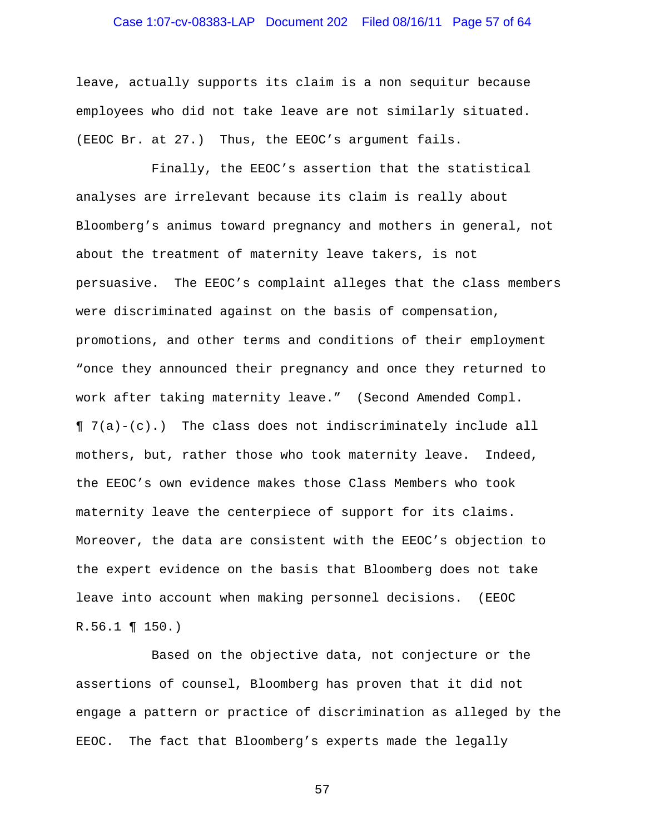# Case 1:07-cv-08383-LAP Document 202 Filed 08/16/11 Page 57 of 64

leave, actually supports its claim is a non sequitur because employees who did not take leave are not similarly situated. (EEOC Br. at 27.) Thus, the EEOC's argument fails.

 Finally, the EEOC's assertion that the statistical analyses are irrelevant because its claim is really about Bloomberg's animus toward pregnancy and mothers in general, not about the treatment of maternity leave takers, is not persuasive. The EEOC's complaint alleges that the class members were discriminated against on the basis of compensation, promotions, and other terms and conditions of their employment "once they announced their pregnancy and once they returned to work after taking maternity leave." (Second Amended Compl. ¶ 7(a)-(c).) The class does not indiscriminately include all mothers, but, rather those who took maternity leave. Indeed, the EEOC's own evidence makes those Class Members who took maternity leave the centerpiece of support for its claims. Moreover, the data are consistent with the EEOC's objection to the expert evidence on the basis that Bloomberg does not take leave into account when making personnel decisions. (EEOC R.56.1 ¶ 150.)

 Based on the objective data, not conjecture or the assertions of counsel, Bloomberg has proven that it did not engage a pattern or practice of discrimination as alleged by the EEOC. The fact that Bloomberg's experts made the legally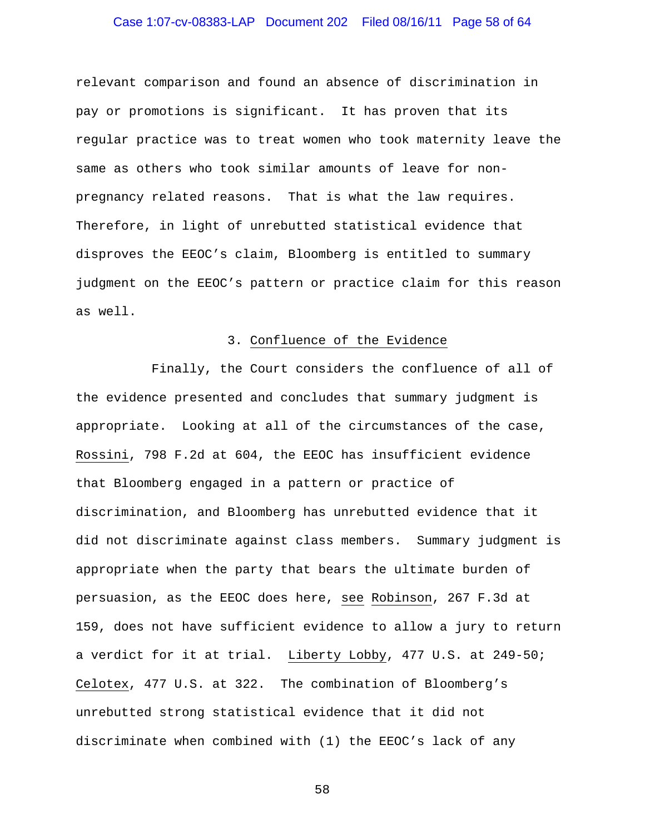# Case 1:07-cv-08383-LAP Document 202 Filed 08/16/11 Page 58 of 64

relevant comparison and found an absence of discrimination in pay or promotions is significant. It has proven that its regular practice was to treat women who took maternity leave the same as others who took similar amounts of leave for nonpregnancy related reasons. That is what the law requires. Therefore, in light of unrebutted statistical evidence that disproves the EEOC's claim, Bloomberg is entitled to summary judgment on the EEOC's pattern or practice claim for this reason as well.

#### 3. Confluence of the Evidence

 Finally, the Court considers the confluence of all of the evidence presented and concludes that summary judgment is appropriate. Looking at all of the circumstances of the case, Rossini, 798 F.2d at 604, the EEOC has insufficient evidence that Bloomberg engaged in a pattern or practice of discrimination, and Bloomberg has unrebutted evidence that it did not discriminate against class members. Summary judgment is appropriate when the party that bears the ultimate burden of persuasion, as the EEOC does here, see Robinson, 267 F.3d at 159, does not have sufficient evidence to allow a jury to return a verdict for it at trial. Liberty Lobby, 477 U.S. at 249-50; Celotex, 477 U.S. at 322. The combination of Bloomberg's unrebutted strong statistical evidence that it did not discriminate when combined with (1) the EEOC's lack of any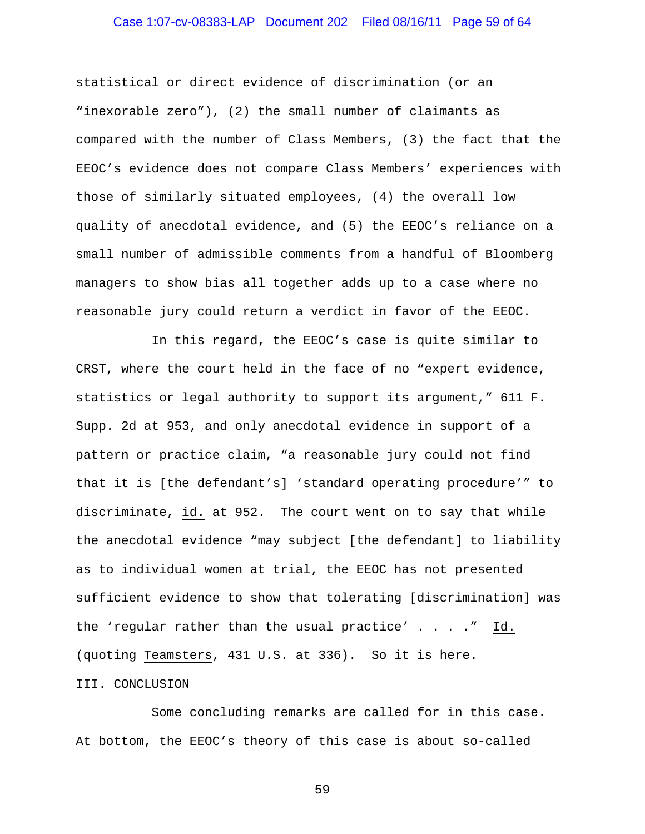# Case 1:07-cv-08383-LAP Document 202 Filed 08/16/11 Page 59 of 64

statistical or direct evidence of discrimination (or an "inexorable zero"), (2) the small number of claimants as compared with the number of Class Members, (3) the fact that the EEOC's evidence does not compare Class Members' experiences with those of similarly situated employees, (4) the overall low quality of anecdotal evidence, and (5) the EEOC's reliance on a small number of admissible comments from a handful of Bloomberg managers to show bias all together adds up to a case where no reasonable jury could return a verdict in favor of the EEOC.

 In this regard, the EEOC's case is quite similar to CRST, where the court held in the face of no "expert evidence, statistics or legal authority to support its argument," 611 F. Supp. 2d at 953, and only anecdotal evidence in support of a pattern or practice claim, "a reasonable jury could not find that it is [the defendant's] 'standard operating procedure'" to discriminate, id. at 952. The court went on to say that while the anecdotal evidence "may subject [the defendant] to liability as to individual women at trial, the EEOC has not presented sufficient evidence to show that tolerating [discrimination] was the 'regular rather than the usual practice'  $\ldots$  . . . " Id. (quoting Teamsters, 431 U.S. at 336). So it is here.

#### III. CONCLUSION

 Some concluding remarks are called for in this case. At bottom, the EEOC's theory of this case is about so-called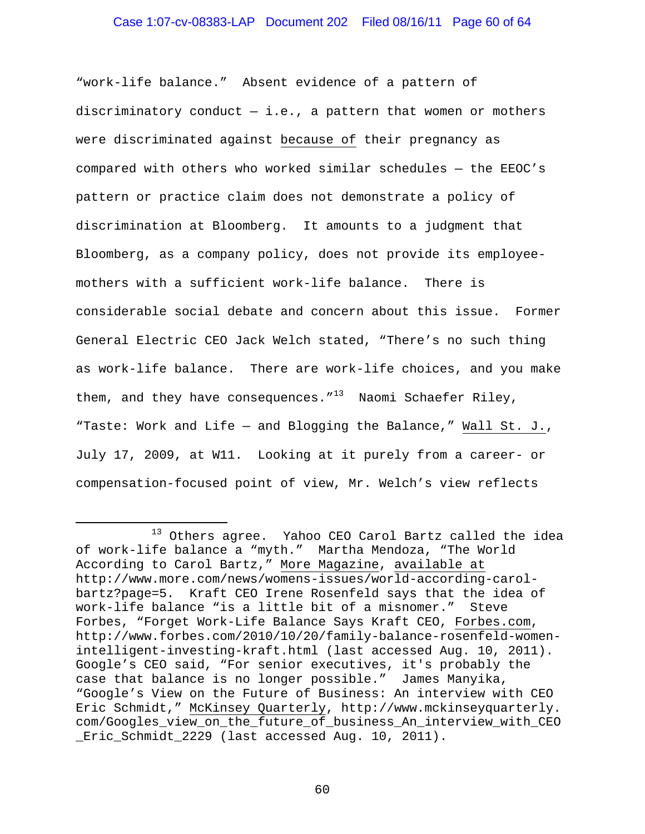#### Case 1:07-cv-08383-LAP Document 202 Filed 08/16/11 Page 60 of 64

"work-life balance." Absent evidence of a pattern of discriminatory conduct  $-$  i.e., a pattern that women or mothers were discriminated against because of their pregnancy as compared with others who worked similar schedules — the EEOC's pattern or practice claim does not demonstrate a policy of discrimination at Bloomberg. It amounts to a judgment that Bloomberg, as a company policy, does not provide its employeemothers with a sufficient work-life balance. There is considerable social debate and concern about this issue. Former General Electric CEO Jack Welch stated, "There's no such thing as work-life balance. There are work-life choices, and you make them, and they have consequences." $13$  Naomi Schaefer Riley, "Taste: Work and Life — and Blogging the Balance," Wall St. J., July 17, 2009, at W11. Looking at it purely from a career- or compensation-focused point of view, Mr. Welch's view reflects

i

<sup>&</sup>lt;sup>13</sup> Others agree. Yahoo CEO Carol Bartz called the idea of work-life balance a "myth." Martha Mendoza, "The World According to Carol Bartz," More Magazine, available at http://www.more.com/news/womens-issues/world-according-carolbartz?page=5. Kraft CEO Irene Rosenfeld says that the idea of work-life balance "is a little bit of a misnomer." Steve Forbes, "Forget Work-Life Balance Says Kraft CEO, Forbes.com, http://www.forbes.com/2010/10/20/family-balance-rosenfeld-womenintelligent-investing-kraft.html (last accessed Aug. 10, 2011). Google's CEO said, "For senior executives, it's probably the case that balance is no longer possible." James Manyika, "Google's View on the Future of Business: An interview with CEO Eric Schmidt," McKinsey Quarterly, http://www.mckinseyquarterly. com/Googles\_view\_on\_the\_future\_of\_business\_An\_interview\_with\_CEO \_Eric\_Schmidt\_2229 (last accessed Aug. 10, 2011).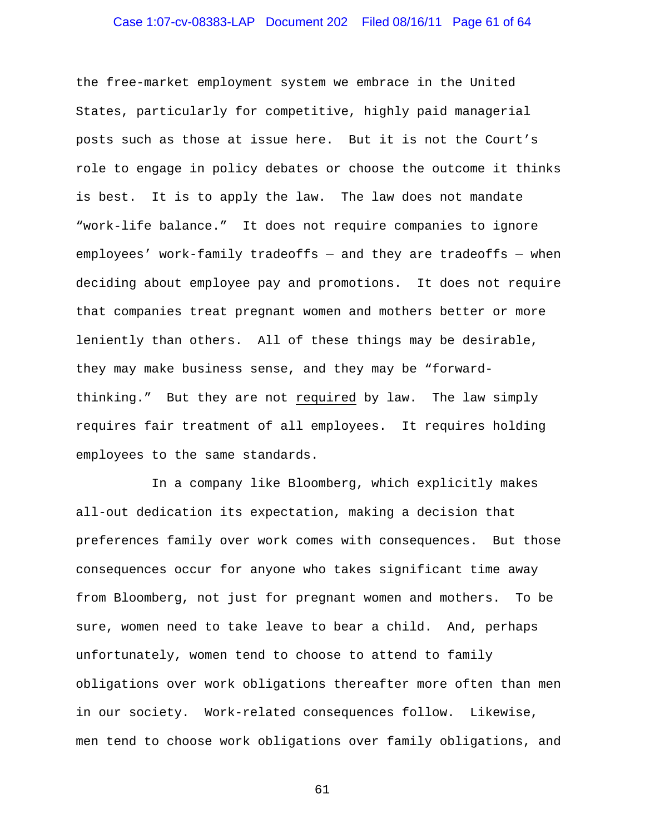# Case 1:07-cv-08383-LAP Document 202 Filed 08/16/11 Page 61 of 64

the free-market employment system we embrace in the United States, particularly for competitive, highly paid managerial posts such as those at issue here. But it is not the Court's role to engage in policy debates or choose the outcome it thinks is best. It is to apply the law. The law does not mandate "work-life balance." It does not require companies to ignore employees' work-family tradeoffs — and they are tradeoffs — when deciding about employee pay and promotions. It does not require that companies treat pregnant women and mothers better or more leniently than others. All of these things may be desirable, they may make business sense, and they may be "forwardthinking." But they are not required by law. The law simply requires fair treatment of all employees. It requires holding employees to the same standards.

 In a company like Bloomberg, which explicitly makes all-out dedication its expectation, making a decision that preferences family over work comes with consequences. But those consequences occur for anyone who takes significant time away from Bloomberg, not just for pregnant women and mothers. To be sure, women need to take leave to bear a child. And, perhaps unfortunately, women tend to choose to attend to family obligations over work obligations thereafter more often than men in our society. Work-related consequences follow. Likewise, men tend to choose work obligations over family obligations, and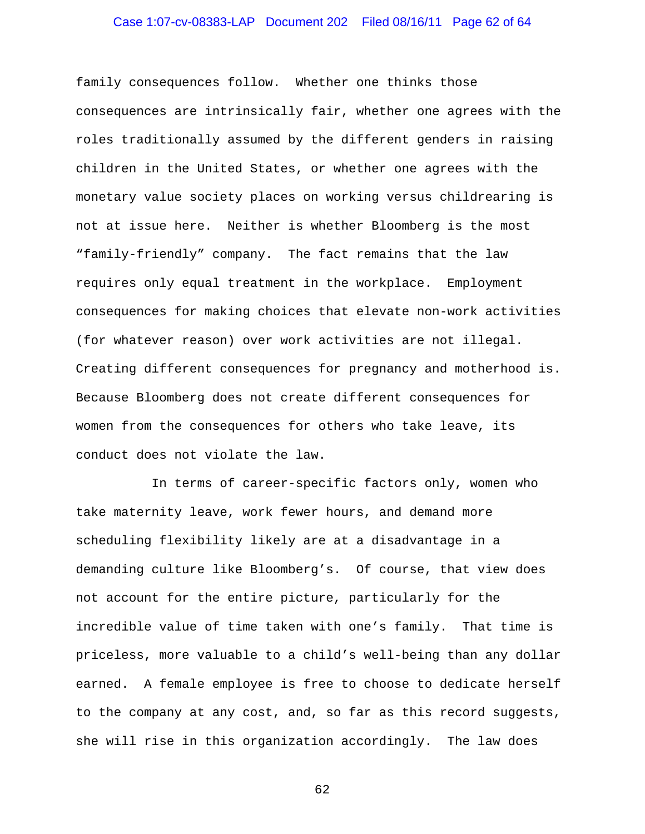# Case 1:07-cv-08383-LAP Document 202 Filed 08/16/11 Page 62 of 64

family consequences follow. Whether one thinks those consequences are intrinsically fair, whether one agrees with the roles traditionally assumed by the different genders in raising children in the United States, or whether one agrees with the monetary value society places on working versus childrearing is not at issue here. Neither is whether Bloomberg is the most "family-friendly" company. The fact remains that the law requires only equal treatment in the workplace. Employment consequences for making choices that elevate non-work activities (for whatever reason) over work activities are not illegal. Creating different consequences for pregnancy and motherhood is. Because Bloomberg does not create different consequences for women from the consequences for others who take leave, its conduct does not violate the law.

 In terms of career-specific factors only, women who take maternity leave, work fewer hours, and demand more scheduling flexibility likely are at a disadvantage in a demanding culture like Bloomberg's. Of course, that view does not account for the entire picture, particularly for the incredible value of time taken with one's family. That time is priceless, more valuable to a child's well-being than any dollar earned. A female employee is free to choose to dedicate herself to the company at any cost, and, so far as this record suggests, she will rise in this organization accordingly. The law does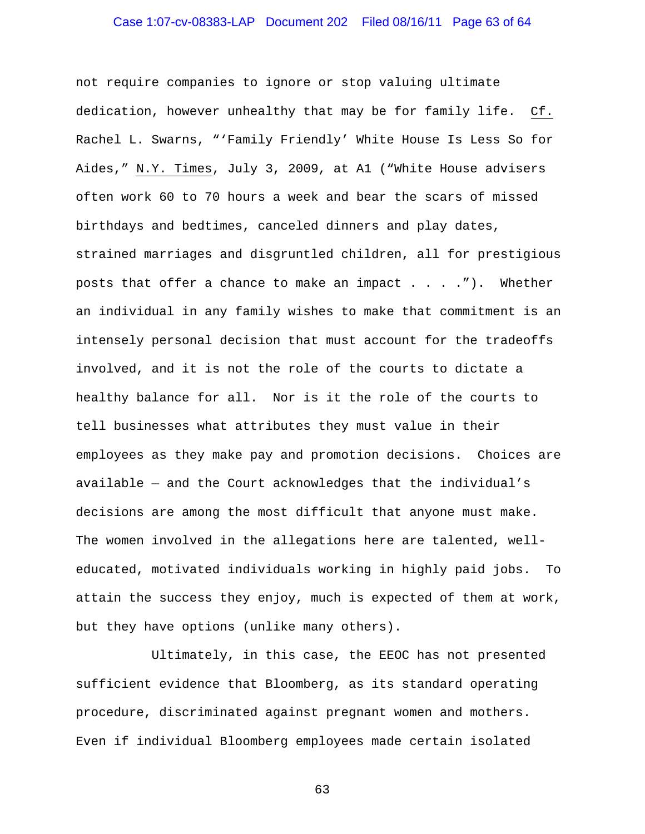# Case 1:07-cv-08383-LAP Document 202 Filed 08/16/11 Page 63 of 64

not require companies to ignore or stop valuing ultimate dedication, however unhealthy that may be for family life. Cf. Rachel L. Swarns, "'Family Friendly' White House Is Less So for Aides," N.Y. Times, July 3, 2009, at A1 ("White House advisers often work 60 to 70 hours a week and bear the scars of missed birthdays and bedtimes, canceled dinners and play dates, strained marriages and disgruntled children, all for prestigious posts that offer a chance to make an impact  $\dots$ . ... . Whether an individual in any family wishes to make that commitment is an intensely personal decision that must account for the tradeoffs involved, and it is not the role of the courts to dictate a healthy balance for all. Nor is it the role of the courts to tell businesses what attributes they must value in their employees as they make pay and promotion decisions. Choices are available — and the Court acknowledges that the individual's decisions are among the most difficult that anyone must make. The women involved in the allegations here are talented, welleducated, motivated individuals working in highly paid jobs. To attain the success they enjoy, much is expected of them at work, but they have options (unlike many others).

 Ultimately, in this case, the EEOC has not presented sufficient evidence that Bloomberg, as its standard operating procedure, discriminated against pregnant women and mothers. Even if individual Bloomberg employees made certain isolated